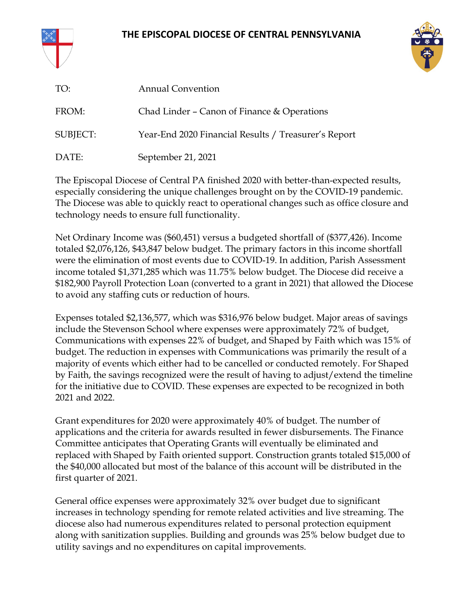### **THE EPISCOPAL DIOCESE OF CENTRAL PENNSYLVANIA**





| TO:      | <b>Annual Convention</b>                             |
|----------|------------------------------------------------------|
| FROM:    | Chad Linder - Canon of Finance $&$ Operations        |
| SUBJECT: | Year-End 2020 Financial Results / Treasurer's Report |
| DATE:    | September 21, 2021                                   |

The Episcopal Diocese of Central PA finished 2020 with better-than-expected results, especially considering the unique challenges brought on by the COVID-19 pandemic. The Diocese was able to quickly react to operational changes such as office closure and technology needs to ensure full functionality.

Net Ordinary Income was (\$60,451) versus a budgeted shortfall of (\$377,426). Income totaled \$2,076,126, \$43,847 below budget. The primary factors in this income shortfall were the elimination of most events due to COVID-19. In addition, Parish Assessment income totaled \$1,371,285 which was 11.75% below budget. The Diocese did receive a \$182,900 Payroll Protection Loan (converted to a grant in 2021) that allowed the Diocese to avoid any staffing cuts or reduction of hours.

Expenses totaled \$2,136,577, which was \$316,976 below budget. Major areas of savings include the Stevenson School where expenses were approximately 72% of budget, Communications with expenses 22% of budget, and Shaped by Faith which was 15% of budget. The reduction in expenses with Communications was primarily the result of a majority of events which either had to be cancelled or conducted remotely. For Shaped by Faith, the savings recognized were the result of having to adjust/extend the timeline for the initiative due to COVID. These expenses are expected to be recognized in both 2021 and 2022.

Grant expenditures for 2020 were approximately 40% of budget. The number of applications and the criteria for awards resulted in fewer disbursements. The Finance Committee anticipates that Operating Grants will eventually be eliminated and replaced with Shaped by Faith oriented support. Construction grants totaled \$15,000 of the \$40,000 allocated but most of the balance of this account will be distributed in the first quarter of 2021.

General office expenses were approximately 32% over budget due to significant increases in technology spending for remote related activities and live streaming. The diocese also had numerous expenditures related to personal protection equipment along with sanitization supplies. Building and grounds was 25% below budget due to utility savings and no expenditures on capital improvements.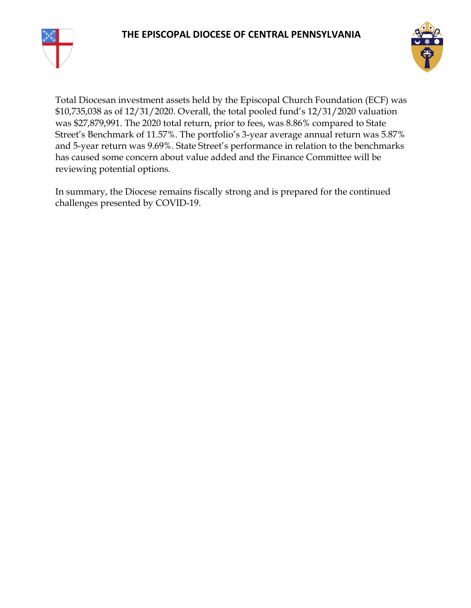



Total Diocesan investment assets held by the Episcopal Church Foundation (ECF) was \$10,735,038 as of 12/31/2020. Overall, the total pooled fund's 12/31/2020 valuation was \$27,879,991. The 2020 total return, prior to fees, was 8.86% compared to State Street's Benchmark of 11.57%. The portfolio's 3-year average annual return was 5.87% and 5-year return was 9.69%. State Street's performance in relation to the benchmarks has caused some concern about value added and the Finance Committee will be reviewing potential options.

In summary, the Diocese remains fiscally strong and is prepared for the continued challenges presented by COVID-19.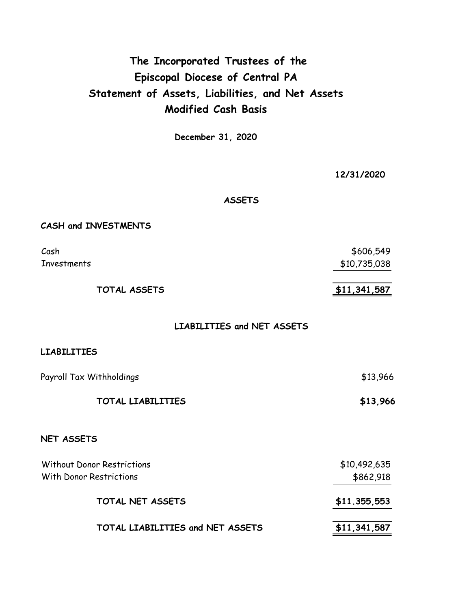### **The Incorporated Trustees of the Episcopal Diocese of Central PA Statement of Assets, Liabilities, and Net Assets Modified Cash Basis**

**December 31, 2020**

**12/31/2020**

**ASSETS**

### **CASH and INVESTMENTS**

Cash Investments

**TOTAL ASSETS \$11,341,587**

\$10,735,038

\$606,549

**LIABILITIES and NET ASSETS**

### **LIABILITIES**

| Payroll Tax Withholdings          | \$13,966     |
|-----------------------------------|--------------|
| TOTAL LIABILITIES                 | \$13,966     |
| <b>NET ASSETS</b>                 |              |
| <b>Without Donor Restrictions</b> | \$10,492,635 |

| With Donor Restrictions          | --- <i>-----</i> ---<br>\$862,918 |
|----------------------------------|-----------------------------------|
| TOTAL NET ASSETS                 | \$11.355,553                      |
| TOTAL LIABILITIES and NET ASSETS | \$11,341,587                      |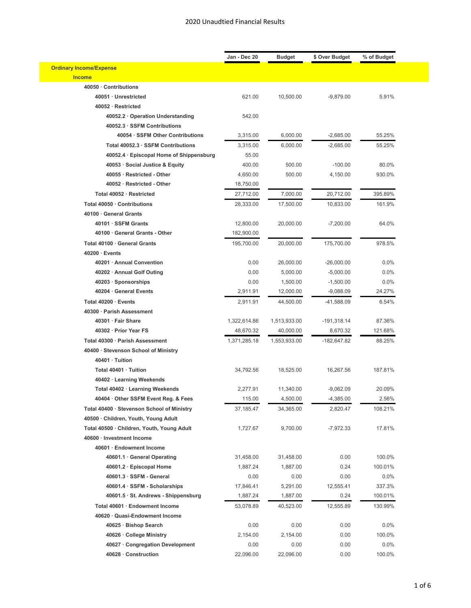|                                            | Jan - Dec 20 | <b>Budget</b>             | \$ Over Budget | % of Budget |  |
|--------------------------------------------|--------------|---------------------------|----------------|-------------|--|
| <b>Ordinary Income/Expense</b>             |              |                           |                |             |  |
| <b>Income</b>                              |              |                           |                |             |  |
| 40050 · Contributions                      |              |                           |                |             |  |
| 40051 · Unrestricted                       | 621.00       | 10,500.00                 | $-9,879.00$    | 5.91%       |  |
| 40052 · Restricted                         |              |                           |                |             |  |
| 40052.2 · Operation Understanding          | 542.00       |                           |                |             |  |
| 40052.3 · SSFM Contributions               |              |                           |                |             |  |
| 40054 · SSFM Other Contributions           | 3,315.00     | 6,000.00                  | $-2,685.00$    | 55.25%      |  |
| Total 40052.3 · SSFM Contributions         | 3,315.00     | 6,000.00                  | $-2,685.00$    | 55.25%      |  |
| 40052.4 · Episcopal Home of Shippensburg   | 55.00        |                           |                |             |  |
| 40053 · Social Justice & Equity            | 400.00       | 500.00                    | $-100.00$      | 80.0%       |  |
| 40055 · Restricted - Other                 | 4,650.00     | 500.00                    | 4,150.00       | 930.0%      |  |
| 40052 · Restricted - Other                 | 18,750.00    |                           |                |             |  |
| Total 40052 · Restricted                   | 27,712.00    | 7,000.00                  | 20,712.00      | 395.89%     |  |
| Total 40050 · Contributions                | 28,333.00    | 17,500.00                 | 10,833.00      | 161.9%      |  |
| 40100 · General Grants                     |              |                           |                |             |  |
| 40101 · SSFM Grants                        | 12,800.00    | 20,000.00                 | $-7,200.00$    | 64.0%       |  |
| 40100 · General Grants - Other             | 182,900.00   |                           |                |             |  |
| Total 40100 · General Grants               | 195,700.00   | 20,000.00                 | 175,700.00     | 978.5%      |  |
| $40200 \cdot$ Events                       |              |                           |                |             |  |
| 40201 · Annual Convention                  | 0.00         | 26,000.00                 | $-26,000.00$   | 0.0%        |  |
| 40202 · Annual Golf Outing                 | 0.00         | 5,000.00                  | $-5,000.00$    | 0.0%        |  |
| 40203 · Sponsorships                       | 0.00         | 1,500.00                  | $-1,500.00$    | 0.0%        |  |
| 40204 · General Events                     | 2,911.91     | 12,000.00                 | $-9,088.09$    | 24.27%      |  |
| Total 40200 · Events                       | 2,911.91     | 44,500.00                 | -41,588.09     | 6.54%       |  |
| 40300 · Parish Assessment                  |              |                           |                |             |  |
| 40301 · Fair Share                         | 1,322,614.86 |                           | $-191,318.14$  | 87.36%      |  |
| 40302 · Prior Year FS                      | 48,670.32    | 1,513,933.00<br>40,000.00 | 8,670.32       | 121.68%     |  |
|                                            |              |                           |                |             |  |
| Total 40300 · Parish Assessment            | 1,371,285.18 | 1,553,933.00              | -182,647.82    | 88.25%      |  |
| 40400 · Stevenson School of Ministry       |              |                           |                |             |  |
| 40401 · Tuition                            |              |                           |                |             |  |
| Total 40401 · Tuition                      | 34,792.56    | 18,525.00                 | 16,267.56      | 187.81%     |  |
| 40402 · Learning Weekends                  |              |                           |                |             |  |
| Total 40402 · Learning Weekends            | 2,277.91     | 11,340.00                 | $-9,062.09$    | 20.09%      |  |
| 40404 · Other SSFM Event Reg. & Fees       | 115.00       | 4,500.00                  | $-4,385.00$    | 2.56%       |  |
| Total 40400 · Stevenson School of Ministry | 37,185.47    | 34,365.00                 | 2,820.47       | 108.21%     |  |
| 40500 · Children, Youth, Young Adult       |              |                           |                |             |  |
| Total 40500 · Children, Youth, Young Adult | 1,727.67     | 9,700.00                  | $-7,972.33$    | 17.81%      |  |
| 40600 · Investment Income                  |              |                           |                |             |  |
| 40601 · Endowment Income                   |              |                           |                |             |  |
| 40601.1 · General Operating                | 31,458.00    | 31,458.00                 | 0.00           | 100.0%      |  |
| 40601.2 · Episcopal Home                   | 1,887.24     | 1,887.00                  | 0.24           | 100.01%     |  |
| 40601.3 · SSFM - General                   | 0.00         | 0.00                      | 0.00           | 0.0%        |  |
| 40601.4 · SSFM - Scholarships              | 17,846.41    | 5,291.00                  | 12,555.41      | 337.3%      |  |
| 40601.5 · St. Andrews - Shippensburg       | 1,887.24     | 1,887.00                  | 0.24           | 100.01%     |  |
| Total 40601 · Endowment Income             | 53,078.89    | 40,523.00                 | 12,555.89      | 130.99%     |  |
| 40620 · Quasi-Endowment Income             |              |                           |                |             |  |
| 40625 · Bishop Search                      | 0.00         | 0.00                      | 0.00           | 0.0%        |  |
| 40626 · College Ministry                   | 2,154.00     | 2,154.00                  | 0.00           | 100.0%      |  |
| 40627 Congregation Development             | 0.00         | 0.00                      | 0.00           | 0.0%        |  |
| 40628 · Construction                       | 22,096.00    | 22,096.00                 | 0.00           | 100.0%      |  |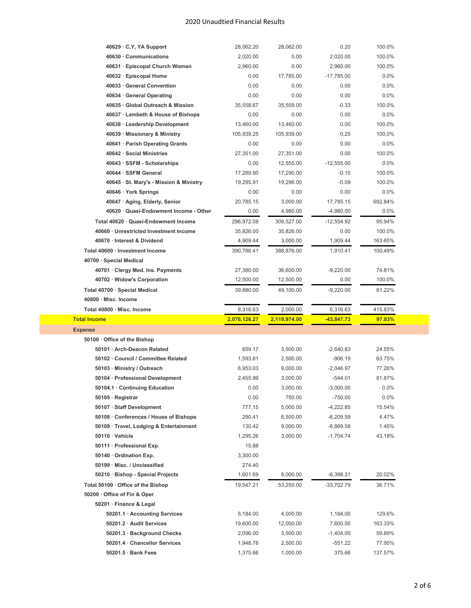| 40629 · C, Y, YA Support                | 28,062.20    | 28,062.00    | 0.20         | 100.0%  |  |
|-----------------------------------------|--------------|--------------|--------------|---------|--|
| 40630 Communications                    | 2,020.00     | 0.00         | 2,020.00     | 100.0%  |  |
| 40631 · Episcopal Church Women          | 2,960.00     | 0.00         | 2.960.00     | 100.0%  |  |
| 40632 · Episcopal Home                  | 0.00         | 17,785.00    | $-17,785.00$ | $0.0\%$ |  |
| 40633 General Convention                | 0.00         | 0.00         | 0.00         | 0.0%    |  |
| 40634 General Operating                 | 0.00         | 0.00         | 0.00         | 0.0%    |  |
| 40635 · Global Outreach & Mission       | 35,558.67    | 35,559.00    | $-0.33$      | 100.0%  |  |
| 40637 · Lambeth & House of Bishops      | 0.00         | 0.00         | 0.00         | 0.0%    |  |
| 40638 · Leadership Development          | 13,460.00    | 13,460.00    | 0.00         | 100.0%  |  |
| 40639 · Missionary & Ministry           | 105,939.25   | 105,939.00   | 0.25         | 100.0%  |  |
| 40641 · Parish Operating Grants         | 0.00         | 0.00         | 0.00         | 0.0%    |  |
| 40642 · Social Ministries               | 27,351.00    | 27,351.00    | 0.00         | 100.0%  |  |
| 40643 · SSFM - Scholarships             | 0.00         | 12,555.00    | $-12,555.00$ | 0.0%    |  |
| 40644 · SSFM General                    | 17,289.90    | 17,290.00    | $-0.10$      | 100.0%  |  |
| 40645 · St. Mary's - Mission & Ministry | 19,295.91    | 19,296.00    | $-0.09$      | 100.0%  |  |
| 40646 · York Springs                    | 0.00         | 0.00         | 0.00         | 0.0%    |  |
| 40647 · Aging, Elderly, Senior          | 20,785.15    | 3,000.00     | 17,785.15    | 692.84% |  |
| 40620 · Quasi-Endowment Income - Other  | 0.00         | 4,980.00     | $-4,980.00$  | $0.0\%$ |  |
| Total 40620 · Quasi-Endowment Income    | 296,972.08   | 309,527.00   | $-12,554.92$ | 95.94%  |  |
| 40660 · Unrestricted Investment Income  | 35,826.00    | 35,826.00    | 0.00         | 100.0%  |  |
| 40670 · Interest & Dividend             | 4,909.44     | 3,000.00     | 1,909.44     | 163.65% |  |
| Total 40600 · Investment Income         | 390,786.41   | 388,876.00   | 1,910.41     | 100.49% |  |
| 40700 · Special Medical                 |              |              |              |         |  |
| 40701 · Clergy Med. Ins. Payments       | 27,380.00    | 36,600.00    | $-9,220.00$  | 74.81%  |  |
| 40702 · Widow's Corporation             | 12,500.00    | 12,500.00    | 0.00         | 100.0%  |  |
| Total 40700 · Special Medical           | 39,880.00    | 49,100.00    | $-9,220.00$  | 81.22%  |  |
|                                         |              |              |              |         |  |
|                                         |              |              |              |         |  |
| 40800 · Misc. Income                    |              |              |              |         |  |
| Total 40800 · Misc. Income              | 8,316.63     | 2,000.00     | 6,316.63     | 415.83% |  |
| <b>Total Income</b>                     | 2,076,126.27 | 2,119,974.00 | -43,847.73   | 97.93%  |  |
| <b>Expense</b>                          |              |              |              |         |  |
| 50100 Office of the Bishop              |              |              |              |         |  |
| 50101 · Arch-Deacon Related             | 859.17       | 3,500.00     | $-2,640.83$  | 24.55%  |  |
| 50102 · Council / Committee Related     | 1,593.81     | 2,500.00     | $-906.19$    | 63.75%  |  |
| 50103 · Ministry / Outreach             | 6,953.03     | 9,000.00     | $-2,046.97$  | 77.26%  |  |
| 50104 · Professional Development        | 2,455.99     | 3,000.00     | $-544.01$    | 81.87%  |  |
| 50104.1 Continuing Education            | 0.00         | 3,000.00     | $-3,000.00$  | 0.0%    |  |
| 50105 · Registrar                       | 0.00         | 750.00       | $-750.00$    | $0.0\%$ |  |
| 50107 · Staff Development               | 777.15       | 5,000.00     | $-4,222.85$  | 15.54%  |  |
| 50108 Conferences / House of Bishops    | 290.41       | 6,500.00     | $-6,209.59$  | 4.47%   |  |
| 50109 · Travel, Lodging & Entertainment | 130.42       | 9,000.00     | $-8,869.58$  | 1.45%   |  |
| $50110 \cdot$ Vehicle                   | 1,295.26     | 3,000.00     | $-1,704.74$  | 43.18%  |  |
| 50111 · Professional Exp.               | 15.88        |              |              |         |  |
| 50140 · Ordination Exp.                 | 3,300.00     |              |              |         |  |
| 50199 · Misc. / Unclassified            | 274.40       |              |              |         |  |
| 50210 · Bishop - Special Projects       | 1,601.69     | 8,000.00     | $-6,398.31$  | 20.02%  |  |
| Total 50100 · Office of the Bishop      | 19,547.21    | 53,250.00    | $-33,702.79$ | 36.71%  |  |
| 50200 · Office of Fin & Oper            |              |              |              |         |  |
| 50201 · Finance & Legal                 |              |              |              |         |  |
| 50201.1 · Accounting Services           | 5,184.00     | 4,000.00     | 1,184.00     | 129.6%  |  |
| 50201.2 · Audit Services                | 19,600.00    | 12,000.00    | 7,600.00     | 163.33% |  |
| 50201.3 · Background Checks             | 2,096.00     | 3,500.00     | $-1,404.00$  | 59.89%  |  |
| 50201.4 · Chancellor Services           | 1,948.78     | 2,500.00     | $-551.22$    | 77.95%  |  |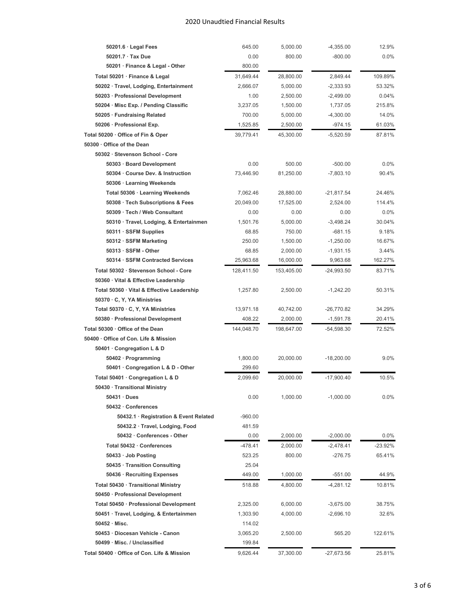| 50201.7 · Tax Due<br>0.00<br>800.00<br>$-800.00$<br>$0.0\%$<br>50201 · Finance & Legal - Other<br>800.00<br>Total 50201 · Finance & Legal<br>31,649.44<br>28,800.00<br>2,849.44<br>109.89%<br>50202 · Travel, Lodging, Entertainment<br>2,666.07<br>5,000.00<br>$-2,333.93$<br>53.32%<br>50203 · Professional Development<br>1.00<br>2,500.00<br>$-2,499.00$<br>0.04%<br>50204 · Misc Exp. / Pending Classific<br>1,737.05<br>215.8%<br>3,237.05<br>1,500.00<br>50205 · Fundraising Related<br>700.00<br>$-4,300.00$<br>14.0%<br>5,000.00<br>50206 · Professional Exp.<br>1,525.85<br>61.03%<br>2,500.00<br>-974.15<br>Total 50200 · Office of Fin & Oper<br>87.81%<br>39,779.41<br>45,300.00<br>$-5,520.59$<br>50300 · Office of the Dean<br>50302 · Stevenson School - Core<br>50303 · Board Development<br>0.00<br>500.00<br>$-500.00$<br>0.0%<br>50304 · Course Dev. & Instruction<br>73,446.90<br>81,250.00<br>$-7,803.10$<br>90.4%<br>50306 · Learning Weekends<br>Total 50306 · Learning Weekends<br>28,880.00<br>$-21,817.54$<br>24.46%<br>7,062.46<br>50308 · Tech Subscriptions & Fees<br>114.4%<br>20,049.00<br>17.525.00<br>2,524.00<br>50309 · Tech / Web Consultant<br>0.00<br>0.00<br>0.00<br>0.0%<br>50310 · Travel, Lodging, & Entertainmen<br>1,501.76<br>5,000.00<br>$-3,498.24$<br>30.04%<br>50311 · SSFM Supplies<br>68.85<br>750.00<br>$-681.15$<br>9.18%<br>50312 · SSFM Marketing<br>1,500.00<br>$-1,250.00$<br>250.00<br>16.67%<br>$50313 \cdot \text{SSFM}$ - Other<br>68.85<br>2,000.00<br>$-1,931.15$<br>3.44%<br>50314 · SSFM Contracted Services<br>25,963.68<br>16,000.00<br>9,963.68<br>162.27%<br>Total 50302 · Stevenson School - Core<br>128,411.50<br>$-24,993.50$<br>83.71%<br>153,405.00<br>50360 Vital & Effective Leadership<br>Total 50360 · Vital & Effective Leadership<br>2,500.00<br>50.31%<br>1,257.80<br>$-1,242.20$<br>50370 · C, Y, YA Ministries<br>Total 50370 · C, Y, YA Ministries<br>13,971.18<br>40,742.00<br>$-26,770.82$<br>34.29%<br>50380 · Professional Development<br>2,000.00<br>$-1,591.78$<br>408.22<br>20.41%<br>Total 50300 · Office of the Dean<br>144,048.70<br>198,647.00<br>-54,598.30<br>72.52%<br>50400 · Office of Con. Life & Mission<br>50401 · Congregation L & D<br>50402 · Programming<br>1,800.00<br>20,000.00<br>$-18,200.00$<br>9.0%<br>50401 · Congregation L & D - Other<br>299.60<br>Total 50401 · Congregation L & D<br>10.5%<br>2,099.60<br>20,000.00<br>$-17,900.40$<br>50430 · Transitional Ministry<br>$50431 \cdot Dues$<br>0.00<br>1,000.00<br>$-1,000.00$<br>0.0%<br>50432 · Conferences<br>50432.1 · Registration & Event Related<br>$-960.00$<br>50432.2 · Travel, Lodging, Food<br>481.59<br>50432 · Conferences - Other<br>0.00<br>2,000.00<br>$-2,000.00$<br>$0.0\%$<br>$-478.41$<br>$-23.92%$<br>Total 50432 · Conferences<br>2,000.00<br>$-2,478.41$<br>50433 · Job Posting<br>523.25<br>800.00<br>$-276.75$<br>65.41%<br>25.04<br>50435 · Transition Consulting<br>44.9%<br>50436 · Recruiting Expenses<br>449.00<br>1,000.00<br>$-551.00$<br>Total 50430 · Transitional Ministry<br>518.88<br>4,800.00<br>$-4,281.12$<br>10.81%<br>50450 · Professional Development<br>Total 50450 · Professional Development<br>2,325.00<br>6,000.00<br>$-3,675.00$<br>38.75%<br>50451 · Travel, Lodging, & Entertainmen<br>1,303.90<br>4,000.00<br>$-2,696.10$<br>32.6%<br>$50452 \cdot$ Misc.<br>114.02<br>50453 · Diocesan Vehicle - Canon<br>3,065.20<br>122.61%<br>2,500.00<br>565.20<br>50499 · Misc. / Unclassified<br>199.84<br>$-27,673.56$<br>25.81%<br>Total 50400 · Office of Con. Life & Mission<br>9,626.44<br>37,300.00 | $50201.6 \cdot$ Legal Fees | 645.00 | 5,000.00 | $-4,355.00$ | 12.9% |
|------------------------------------------------------------------------------------------------------------------------------------------------------------------------------------------------------------------------------------------------------------------------------------------------------------------------------------------------------------------------------------------------------------------------------------------------------------------------------------------------------------------------------------------------------------------------------------------------------------------------------------------------------------------------------------------------------------------------------------------------------------------------------------------------------------------------------------------------------------------------------------------------------------------------------------------------------------------------------------------------------------------------------------------------------------------------------------------------------------------------------------------------------------------------------------------------------------------------------------------------------------------------------------------------------------------------------------------------------------------------------------------------------------------------------------------------------------------------------------------------------------------------------------------------------------------------------------------------------------------------------------------------------------------------------------------------------------------------------------------------------------------------------------------------------------------------------------------------------------------------------------------------------------------------------------------------------------------------------------------------------------------------------------------------------------------------------------------------------------------------------------------------------------------------------------------------------------------------------------------------------------------------------------------------------------------------------------------------------------------------------------------------------------------------------------------------------------------------------------------------------------------------------------------------------------------------------------------------------------------------------------------------------------------------------------------------------------------------------------------------------------------------------------------------------------------------------------------------------------------------------------------------------------------------------------------------------------------------------------------------------------------------------------------------------------------------------------------------------------------------------------------------------------------------------------------------------------------------------------------------------------------------------------------------------------------------------------------------------------------------------------------------------------------------------------------------------------------------------------------------------------------------------------------------------------------------------------------------------------------------------|----------------------------|--------|----------|-------------|-------|
|                                                                                                                                                                                                                                                                                                                                                                                                                                                                                                                                                                                                                                                                                                                                                                                                                                                                                                                                                                                                                                                                                                                                                                                                                                                                                                                                                                                                                                                                                                                                                                                                                                                                                                                                                                                                                                                                                                                                                                                                                                                                                                                                                                                                                                                                                                                                                                                                                                                                                                                                                                                                                                                                                                                                                                                                                                                                                                                                                                                                                                                                                                                                                                                                                                                                                                                                                                                                                                                                                                                                                                                                                              |                            |        |          |             |       |
|                                                                                                                                                                                                                                                                                                                                                                                                                                                                                                                                                                                                                                                                                                                                                                                                                                                                                                                                                                                                                                                                                                                                                                                                                                                                                                                                                                                                                                                                                                                                                                                                                                                                                                                                                                                                                                                                                                                                                                                                                                                                                                                                                                                                                                                                                                                                                                                                                                                                                                                                                                                                                                                                                                                                                                                                                                                                                                                                                                                                                                                                                                                                                                                                                                                                                                                                                                                                                                                                                                                                                                                                                              |                            |        |          |             |       |
|                                                                                                                                                                                                                                                                                                                                                                                                                                                                                                                                                                                                                                                                                                                                                                                                                                                                                                                                                                                                                                                                                                                                                                                                                                                                                                                                                                                                                                                                                                                                                                                                                                                                                                                                                                                                                                                                                                                                                                                                                                                                                                                                                                                                                                                                                                                                                                                                                                                                                                                                                                                                                                                                                                                                                                                                                                                                                                                                                                                                                                                                                                                                                                                                                                                                                                                                                                                                                                                                                                                                                                                                                              |                            |        |          |             |       |
|                                                                                                                                                                                                                                                                                                                                                                                                                                                                                                                                                                                                                                                                                                                                                                                                                                                                                                                                                                                                                                                                                                                                                                                                                                                                                                                                                                                                                                                                                                                                                                                                                                                                                                                                                                                                                                                                                                                                                                                                                                                                                                                                                                                                                                                                                                                                                                                                                                                                                                                                                                                                                                                                                                                                                                                                                                                                                                                                                                                                                                                                                                                                                                                                                                                                                                                                                                                                                                                                                                                                                                                                                              |                            |        |          |             |       |
|                                                                                                                                                                                                                                                                                                                                                                                                                                                                                                                                                                                                                                                                                                                                                                                                                                                                                                                                                                                                                                                                                                                                                                                                                                                                                                                                                                                                                                                                                                                                                                                                                                                                                                                                                                                                                                                                                                                                                                                                                                                                                                                                                                                                                                                                                                                                                                                                                                                                                                                                                                                                                                                                                                                                                                                                                                                                                                                                                                                                                                                                                                                                                                                                                                                                                                                                                                                                                                                                                                                                                                                                                              |                            |        |          |             |       |
|                                                                                                                                                                                                                                                                                                                                                                                                                                                                                                                                                                                                                                                                                                                                                                                                                                                                                                                                                                                                                                                                                                                                                                                                                                                                                                                                                                                                                                                                                                                                                                                                                                                                                                                                                                                                                                                                                                                                                                                                                                                                                                                                                                                                                                                                                                                                                                                                                                                                                                                                                                                                                                                                                                                                                                                                                                                                                                                                                                                                                                                                                                                                                                                                                                                                                                                                                                                                                                                                                                                                                                                                                              |                            |        |          |             |       |
|                                                                                                                                                                                                                                                                                                                                                                                                                                                                                                                                                                                                                                                                                                                                                                                                                                                                                                                                                                                                                                                                                                                                                                                                                                                                                                                                                                                                                                                                                                                                                                                                                                                                                                                                                                                                                                                                                                                                                                                                                                                                                                                                                                                                                                                                                                                                                                                                                                                                                                                                                                                                                                                                                                                                                                                                                                                                                                                                                                                                                                                                                                                                                                                                                                                                                                                                                                                                                                                                                                                                                                                                                              |                            |        |          |             |       |
|                                                                                                                                                                                                                                                                                                                                                                                                                                                                                                                                                                                                                                                                                                                                                                                                                                                                                                                                                                                                                                                                                                                                                                                                                                                                                                                                                                                                                                                                                                                                                                                                                                                                                                                                                                                                                                                                                                                                                                                                                                                                                                                                                                                                                                                                                                                                                                                                                                                                                                                                                                                                                                                                                                                                                                                                                                                                                                                                                                                                                                                                                                                                                                                                                                                                                                                                                                                                                                                                                                                                                                                                                              |                            |        |          |             |       |
|                                                                                                                                                                                                                                                                                                                                                                                                                                                                                                                                                                                                                                                                                                                                                                                                                                                                                                                                                                                                                                                                                                                                                                                                                                                                                                                                                                                                                                                                                                                                                                                                                                                                                                                                                                                                                                                                                                                                                                                                                                                                                                                                                                                                                                                                                                                                                                                                                                                                                                                                                                                                                                                                                                                                                                                                                                                                                                                                                                                                                                                                                                                                                                                                                                                                                                                                                                                                                                                                                                                                                                                                                              |                            |        |          |             |       |
|                                                                                                                                                                                                                                                                                                                                                                                                                                                                                                                                                                                                                                                                                                                                                                                                                                                                                                                                                                                                                                                                                                                                                                                                                                                                                                                                                                                                                                                                                                                                                                                                                                                                                                                                                                                                                                                                                                                                                                                                                                                                                                                                                                                                                                                                                                                                                                                                                                                                                                                                                                                                                                                                                                                                                                                                                                                                                                                                                                                                                                                                                                                                                                                                                                                                                                                                                                                                                                                                                                                                                                                                                              |                            |        |          |             |       |
|                                                                                                                                                                                                                                                                                                                                                                                                                                                                                                                                                                                                                                                                                                                                                                                                                                                                                                                                                                                                                                                                                                                                                                                                                                                                                                                                                                                                                                                                                                                                                                                                                                                                                                                                                                                                                                                                                                                                                                                                                                                                                                                                                                                                                                                                                                                                                                                                                                                                                                                                                                                                                                                                                                                                                                                                                                                                                                                                                                                                                                                                                                                                                                                                                                                                                                                                                                                                                                                                                                                                                                                                                              |                            |        |          |             |       |
|                                                                                                                                                                                                                                                                                                                                                                                                                                                                                                                                                                                                                                                                                                                                                                                                                                                                                                                                                                                                                                                                                                                                                                                                                                                                                                                                                                                                                                                                                                                                                                                                                                                                                                                                                                                                                                                                                                                                                                                                                                                                                                                                                                                                                                                                                                                                                                                                                                                                                                                                                                                                                                                                                                                                                                                                                                                                                                                                                                                                                                                                                                                                                                                                                                                                                                                                                                                                                                                                                                                                                                                                                              |                            |        |          |             |       |
|                                                                                                                                                                                                                                                                                                                                                                                                                                                                                                                                                                                                                                                                                                                                                                                                                                                                                                                                                                                                                                                                                                                                                                                                                                                                                                                                                                                                                                                                                                                                                                                                                                                                                                                                                                                                                                                                                                                                                                                                                                                                                                                                                                                                                                                                                                                                                                                                                                                                                                                                                                                                                                                                                                                                                                                                                                                                                                                                                                                                                                                                                                                                                                                                                                                                                                                                                                                                                                                                                                                                                                                                                              |                            |        |          |             |       |
|                                                                                                                                                                                                                                                                                                                                                                                                                                                                                                                                                                                                                                                                                                                                                                                                                                                                                                                                                                                                                                                                                                                                                                                                                                                                                                                                                                                                                                                                                                                                                                                                                                                                                                                                                                                                                                                                                                                                                                                                                                                                                                                                                                                                                                                                                                                                                                                                                                                                                                                                                                                                                                                                                                                                                                                                                                                                                                                                                                                                                                                                                                                                                                                                                                                                                                                                                                                                                                                                                                                                                                                                                              |                            |        |          |             |       |
|                                                                                                                                                                                                                                                                                                                                                                                                                                                                                                                                                                                                                                                                                                                                                                                                                                                                                                                                                                                                                                                                                                                                                                                                                                                                                                                                                                                                                                                                                                                                                                                                                                                                                                                                                                                                                                                                                                                                                                                                                                                                                                                                                                                                                                                                                                                                                                                                                                                                                                                                                                                                                                                                                                                                                                                                                                                                                                                                                                                                                                                                                                                                                                                                                                                                                                                                                                                                                                                                                                                                                                                                                              |                            |        |          |             |       |
|                                                                                                                                                                                                                                                                                                                                                                                                                                                                                                                                                                                                                                                                                                                                                                                                                                                                                                                                                                                                                                                                                                                                                                                                                                                                                                                                                                                                                                                                                                                                                                                                                                                                                                                                                                                                                                                                                                                                                                                                                                                                                                                                                                                                                                                                                                                                                                                                                                                                                                                                                                                                                                                                                                                                                                                                                                                                                                                                                                                                                                                                                                                                                                                                                                                                                                                                                                                                                                                                                                                                                                                                                              |                            |        |          |             |       |
|                                                                                                                                                                                                                                                                                                                                                                                                                                                                                                                                                                                                                                                                                                                                                                                                                                                                                                                                                                                                                                                                                                                                                                                                                                                                                                                                                                                                                                                                                                                                                                                                                                                                                                                                                                                                                                                                                                                                                                                                                                                                                                                                                                                                                                                                                                                                                                                                                                                                                                                                                                                                                                                                                                                                                                                                                                                                                                                                                                                                                                                                                                                                                                                                                                                                                                                                                                                                                                                                                                                                                                                                                              |                            |        |          |             |       |
|                                                                                                                                                                                                                                                                                                                                                                                                                                                                                                                                                                                                                                                                                                                                                                                                                                                                                                                                                                                                                                                                                                                                                                                                                                                                                                                                                                                                                                                                                                                                                                                                                                                                                                                                                                                                                                                                                                                                                                                                                                                                                                                                                                                                                                                                                                                                                                                                                                                                                                                                                                                                                                                                                                                                                                                                                                                                                                                                                                                                                                                                                                                                                                                                                                                                                                                                                                                                                                                                                                                                                                                                                              |                            |        |          |             |       |
|                                                                                                                                                                                                                                                                                                                                                                                                                                                                                                                                                                                                                                                                                                                                                                                                                                                                                                                                                                                                                                                                                                                                                                                                                                                                                                                                                                                                                                                                                                                                                                                                                                                                                                                                                                                                                                                                                                                                                                                                                                                                                                                                                                                                                                                                                                                                                                                                                                                                                                                                                                                                                                                                                                                                                                                                                                                                                                                                                                                                                                                                                                                                                                                                                                                                                                                                                                                                                                                                                                                                                                                                                              |                            |        |          |             |       |
|                                                                                                                                                                                                                                                                                                                                                                                                                                                                                                                                                                                                                                                                                                                                                                                                                                                                                                                                                                                                                                                                                                                                                                                                                                                                                                                                                                                                                                                                                                                                                                                                                                                                                                                                                                                                                                                                                                                                                                                                                                                                                                                                                                                                                                                                                                                                                                                                                                                                                                                                                                                                                                                                                                                                                                                                                                                                                                                                                                                                                                                                                                                                                                                                                                                                                                                                                                                                                                                                                                                                                                                                                              |                            |        |          |             |       |
|                                                                                                                                                                                                                                                                                                                                                                                                                                                                                                                                                                                                                                                                                                                                                                                                                                                                                                                                                                                                                                                                                                                                                                                                                                                                                                                                                                                                                                                                                                                                                                                                                                                                                                                                                                                                                                                                                                                                                                                                                                                                                                                                                                                                                                                                                                                                                                                                                                                                                                                                                                                                                                                                                                                                                                                                                                                                                                                                                                                                                                                                                                                                                                                                                                                                                                                                                                                                                                                                                                                                                                                                                              |                            |        |          |             |       |
|                                                                                                                                                                                                                                                                                                                                                                                                                                                                                                                                                                                                                                                                                                                                                                                                                                                                                                                                                                                                                                                                                                                                                                                                                                                                                                                                                                                                                                                                                                                                                                                                                                                                                                                                                                                                                                                                                                                                                                                                                                                                                                                                                                                                                                                                                                                                                                                                                                                                                                                                                                                                                                                                                                                                                                                                                                                                                                                                                                                                                                                                                                                                                                                                                                                                                                                                                                                                                                                                                                                                                                                                                              |                            |        |          |             |       |
|                                                                                                                                                                                                                                                                                                                                                                                                                                                                                                                                                                                                                                                                                                                                                                                                                                                                                                                                                                                                                                                                                                                                                                                                                                                                                                                                                                                                                                                                                                                                                                                                                                                                                                                                                                                                                                                                                                                                                                                                                                                                                                                                                                                                                                                                                                                                                                                                                                                                                                                                                                                                                                                                                                                                                                                                                                                                                                                                                                                                                                                                                                                                                                                                                                                                                                                                                                                                                                                                                                                                                                                                                              |                            |        |          |             |       |
|                                                                                                                                                                                                                                                                                                                                                                                                                                                                                                                                                                                                                                                                                                                                                                                                                                                                                                                                                                                                                                                                                                                                                                                                                                                                                                                                                                                                                                                                                                                                                                                                                                                                                                                                                                                                                                                                                                                                                                                                                                                                                                                                                                                                                                                                                                                                                                                                                                                                                                                                                                                                                                                                                                                                                                                                                                                                                                                                                                                                                                                                                                                                                                                                                                                                                                                                                                                                                                                                                                                                                                                                                              |                            |        |          |             |       |
|                                                                                                                                                                                                                                                                                                                                                                                                                                                                                                                                                                                                                                                                                                                                                                                                                                                                                                                                                                                                                                                                                                                                                                                                                                                                                                                                                                                                                                                                                                                                                                                                                                                                                                                                                                                                                                                                                                                                                                                                                                                                                                                                                                                                                                                                                                                                                                                                                                                                                                                                                                                                                                                                                                                                                                                                                                                                                                                                                                                                                                                                                                                                                                                                                                                                                                                                                                                                                                                                                                                                                                                                                              |                            |        |          |             |       |
|                                                                                                                                                                                                                                                                                                                                                                                                                                                                                                                                                                                                                                                                                                                                                                                                                                                                                                                                                                                                                                                                                                                                                                                                                                                                                                                                                                                                                                                                                                                                                                                                                                                                                                                                                                                                                                                                                                                                                                                                                                                                                                                                                                                                                                                                                                                                                                                                                                                                                                                                                                                                                                                                                                                                                                                                                                                                                                                                                                                                                                                                                                                                                                                                                                                                                                                                                                                                                                                                                                                                                                                                                              |                            |        |          |             |       |
|                                                                                                                                                                                                                                                                                                                                                                                                                                                                                                                                                                                                                                                                                                                                                                                                                                                                                                                                                                                                                                                                                                                                                                                                                                                                                                                                                                                                                                                                                                                                                                                                                                                                                                                                                                                                                                                                                                                                                                                                                                                                                                                                                                                                                                                                                                                                                                                                                                                                                                                                                                                                                                                                                                                                                                                                                                                                                                                                                                                                                                                                                                                                                                                                                                                                                                                                                                                                                                                                                                                                                                                                                              |                            |        |          |             |       |
|                                                                                                                                                                                                                                                                                                                                                                                                                                                                                                                                                                                                                                                                                                                                                                                                                                                                                                                                                                                                                                                                                                                                                                                                                                                                                                                                                                                                                                                                                                                                                                                                                                                                                                                                                                                                                                                                                                                                                                                                                                                                                                                                                                                                                                                                                                                                                                                                                                                                                                                                                                                                                                                                                                                                                                                                                                                                                                                                                                                                                                                                                                                                                                                                                                                                                                                                                                                                                                                                                                                                                                                                                              |                            |        |          |             |       |
|                                                                                                                                                                                                                                                                                                                                                                                                                                                                                                                                                                                                                                                                                                                                                                                                                                                                                                                                                                                                                                                                                                                                                                                                                                                                                                                                                                                                                                                                                                                                                                                                                                                                                                                                                                                                                                                                                                                                                                                                                                                                                                                                                                                                                                                                                                                                                                                                                                                                                                                                                                                                                                                                                                                                                                                                                                                                                                                                                                                                                                                                                                                                                                                                                                                                                                                                                                                                                                                                                                                                                                                                                              |                            |        |          |             |       |
|                                                                                                                                                                                                                                                                                                                                                                                                                                                                                                                                                                                                                                                                                                                                                                                                                                                                                                                                                                                                                                                                                                                                                                                                                                                                                                                                                                                                                                                                                                                                                                                                                                                                                                                                                                                                                                                                                                                                                                                                                                                                                                                                                                                                                                                                                                                                                                                                                                                                                                                                                                                                                                                                                                                                                                                                                                                                                                                                                                                                                                                                                                                                                                                                                                                                                                                                                                                                                                                                                                                                                                                                                              |                            |        |          |             |       |
|                                                                                                                                                                                                                                                                                                                                                                                                                                                                                                                                                                                                                                                                                                                                                                                                                                                                                                                                                                                                                                                                                                                                                                                                                                                                                                                                                                                                                                                                                                                                                                                                                                                                                                                                                                                                                                                                                                                                                                                                                                                                                                                                                                                                                                                                                                                                                                                                                                                                                                                                                                                                                                                                                                                                                                                                                                                                                                                                                                                                                                                                                                                                                                                                                                                                                                                                                                                                                                                                                                                                                                                                                              |                            |        |          |             |       |
|                                                                                                                                                                                                                                                                                                                                                                                                                                                                                                                                                                                                                                                                                                                                                                                                                                                                                                                                                                                                                                                                                                                                                                                                                                                                                                                                                                                                                                                                                                                                                                                                                                                                                                                                                                                                                                                                                                                                                                                                                                                                                                                                                                                                                                                                                                                                                                                                                                                                                                                                                                                                                                                                                                                                                                                                                                                                                                                                                                                                                                                                                                                                                                                                                                                                                                                                                                                                                                                                                                                                                                                                                              |                            |        |          |             |       |
|                                                                                                                                                                                                                                                                                                                                                                                                                                                                                                                                                                                                                                                                                                                                                                                                                                                                                                                                                                                                                                                                                                                                                                                                                                                                                                                                                                                                                                                                                                                                                                                                                                                                                                                                                                                                                                                                                                                                                                                                                                                                                                                                                                                                                                                                                                                                                                                                                                                                                                                                                                                                                                                                                                                                                                                                                                                                                                                                                                                                                                                                                                                                                                                                                                                                                                                                                                                                                                                                                                                                                                                                                              |                            |        |          |             |       |
|                                                                                                                                                                                                                                                                                                                                                                                                                                                                                                                                                                                                                                                                                                                                                                                                                                                                                                                                                                                                                                                                                                                                                                                                                                                                                                                                                                                                                                                                                                                                                                                                                                                                                                                                                                                                                                                                                                                                                                                                                                                                                                                                                                                                                                                                                                                                                                                                                                                                                                                                                                                                                                                                                                                                                                                                                                                                                                                                                                                                                                                                                                                                                                                                                                                                                                                                                                                                                                                                                                                                                                                                                              |                            |        |          |             |       |
|                                                                                                                                                                                                                                                                                                                                                                                                                                                                                                                                                                                                                                                                                                                                                                                                                                                                                                                                                                                                                                                                                                                                                                                                                                                                                                                                                                                                                                                                                                                                                                                                                                                                                                                                                                                                                                                                                                                                                                                                                                                                                                                                                                                                                                                                                                                                                                                                                                                                                                                                                                                                                                                                                                                                                                                                                                                                                                                                                                                                                                                                                                                                                                                                                                                                                                                                                                                                                                                                                                                                                                                                                              |                            |        |          |             |       |
|                                                                                                                                                                                                                                                                                                                                                                                                                                                                                                                                                                                                                                                                                                                                                                                                                                                                                                                                                                                                                                                                                                                                                                                                                                                                                                                                                                                                                                                                                                                                                                                                                                                                                                                                                                                                                                                                                                                                                                                                                                                                                                                                                                                                                                                                                                                                                                                                                                                                                                                                                                                                                                                                                                                                                                                                                                                                                                                                                                                                                                                                                                                                                                                                                                                                                                                                                                                                                                                                                                                                                                                                                              |                            |        |          |             |       |
|                                                                                                                                                                                                                                                                                                                                                                                                                                                                                                                                                                                                                                                                                                                                                                                                                                                                                                                                                                                                                                                                                                                                                                                                                                                                                                                                                                                                                                                                                                                                                                                                                                                                                                                                                                                                                                                                                                                                                                                                                                                                                                                                                                                                                                                                                                                                                                                                                                                                                                                                                                                                                                                                                                                                                                                                                                                                                                                                                                                                                                                                                                                                                                                                                                                                                                                                                                                                                                                                                                                                                                                                                              |                            |        |          |             |       |
|                                                                                                                                                                                                                                                                                                                                                                                                                                                                                                                                                                                                                                                                                                                                                                                                                                                                                                                                                                                                                                                                                                                                                                                                                                                                                                                                                                                                                                                                                                                                                                                                                                                                                                                                                                                                                                                                                                                                                                                                                                                                                                                                                                                                                                                                                                                                                                                                                                                                                                                                                                                                                                                                                                                                                                                                                                                                                                                                                                                                                                                                                                                                                                                                                                                                                                                                                                                                                                                                                                                                                                                                                              |                            |        |          |             |       |
|                                                                                                                                                                                                                                                                                                                                                                                                                                                                                                                                                                                                                                                                                                                                                                                                                                                                                                                                                                                                                                                                                                                                                                                                                                                                                                                                                                                                                                                                                                                                                                                                                                                                                                                                                                                                                                                                                                                                                                                                                                                                                                                                                                                                                                                                                                                                                                                                                                                                                                                                                                                                                                                                                                                                                                                                                                                                                                                                                                                                                                                                                                                                                                                                                                                                                                                                                                                                                                                                                                                                                                                                                              |                            |        |          |             |       |
|                                                                                                                                                                                                                                                                                                                                                                                                                                                                                                                                                                                                                                                                                                                                                                                                                                                                                                                                                                                                                                                                                                                                                                                                                                                                                                                                                                                                                                                                                                                                                                                                                                                                                                                                                                                                                                                                                                                                                                                                                                                                                                                                                                                                                                                                                                                                                                                                                                                                                                                                                                                                                                                                                                                                                                                                                                                                                                                                                                                                                                                                                                                                                                                                                                                                                                                                                                                                                                                                                                                                                                                                                              |                            |        |          |             |       |
|                                                                                                                                                                                                                                                                                                                                                                                                                                                                                                                                                                                                                                                                                                                                                                                                                                                                                                                                                                                                                                                                                                                                                                                                                                                                                                                                                                                                                                                                                                                                                                                                                                                                                                                                                                                                                                                                                                                                                                                                                                                                                                                                                                                                                                                                                                                                                                                                                                                                                                                                                                                                                                                                                                                                                                                                                                                                                                                                                                                                                                                                                                                                                                                                                                                                                                                                                                                                                                                                                                                                                                                                                              |                            |        |          |             |       |
|                                                                                                                                                                                                                                                                                                                                                                                                                                                                                                                                                                                                                                                                                                                                                                                                                                                                                                                                                                                                                                                                                                                                                                                                                                                                                                                                                                                                                                                                                                                                                                                                                                                                                                                                                                                                                                                                                                                                                                                                                                                                                                                                                                                                                                                                                                                                                                                                                                                                                                                                                                                                                                                                                                                                                                                                                                                                                                                                                                                                                                                                                                                                                                                                                                                                                                                                                                                                                                                                                                                                                                                                                              |                            |        |          |             |       |
|                                                                                                                                                                                                                                                                                                                                                                                                                                                                                                                                                                                                                                                                                                                                                                                                                                                                                                                                                                                                                                                                                                                                                                                                                                                                                                                                                                                                                                                                                                                                                                                                                                                                                                                                                                                                                                                                                                                                                                                                                                                                                                                                                                                                                                                                                                                                                                                                                                                                                                                                                                                                                                                                                                                                                                                                                                                                                                                                                                                                                                                                                                                                                                                                                                                                                                                                                                                                                                                                                                                                                                                                                              |                            |        |          |             |       |
|                                                                                                                                                                                                                                                                                                                                                                                                                                                                                                                                                                                                                                                                                                                                                                                                                                                                                                                                                                                                                                                                                                                                                                                                                                                                                                                                                                                                                                                                                                                                                                                                                                                                                                                                                                                                                                                                                                                                                                                                                                                                                                                                                                                                                                                                                                                                                                                                                                                                                                                                                                                                                                                                                                                                                                                                                                                                                                                                                                                                                                                                                                                                                                                                                                                                                                                                                                                                                                                                                                                                                                                                                              |                            |        |          |             |       |
|                                                                                                                                                                                                                                                                                                                                                                                                                                                                                                                                                                                                                                                                                                                                                                                                                                                                                                                                                                                                                                                                                                                                                                                                                                                                                                                                                                                                                                                                                                                                                                                                                                                                                                                                                                                                                                                                                                                                                                                                                                                                                                                                                                                                                                                                                                                                                                                                                                                                                                                                                                                                                                                                                                                                                                                                                                                                                                                                                                                                                                                                                                                                                                                                                                                                                                                                                                                                                                                                                                                                                                                                                              |                            |        |          |             |       |
|                                                                                                                                                                                                                                                                                                                                                                                                                                                                                                                                                                                                                                                                                                                                                                                                                                                                                                                                                                                                                                                                                                                                                                                                                                                                                                                                                                                                                                                                                                                                                                                                                                                                                                                                                                                                                                                                                                                                                                                                                                                                                                                                                                                                                                                                                                                                                                                                                                                                                                                                                                                                                                                                                                                                                                                                                                                                                                                                                                                                                                                                                                                                                                                                                                                                                                                                                                                                                                                                                                                                                                                                                              |                            |        |          |             |       |
|                                                                                                                                                                                                                                                                                                                                                                                                                                                                                                                                                                                                                                                                                                                                                                                                                                                                                                                                                                                                                                                                                                                                                                                                                                                                                                                                                                                                                                                                                                                                                                                                                                                                                                                                                                                                                                                                                                                                                                                                                                                                                                                                                                                                                                                                                                                                                                                                                                                                                                                                                                                                                                                                                                                                                                                                                                                                                                                                                                                                                                                                                                                                                                                                                                                                                                                                                                                                                                                                                                                                                                                                                              |                            |        |          |             |       |
|                                                                                                                                                                                                                                                                                                                                                                                                                                                                                                                                                                                                                                                                                                                                                                                                                                                                                                                                                                                                                                                                                                                                                                                                                                                                                                                                                                                                                                                                                                                                                                                                                                                                                                                                                                                                                                                                                                                                                                                                                                                                                                                                                                                                                                                                                                                                                                                                                                                                                                                                                                                                                                                                                                                                                                                                                                                                                                                                                                                                                                                                                                                                                                                                                                                                                                                                                                                                                                                                                                                                                                                                                              |                            |        |          |             |       |
|                                                                                                                                                                                                                                                                                                                                                                                                                                                                                                                                                                                                                                                                                                                                                                                                                                                                                                                                                                                                                                                                                                                                                                                                                                                                                                                                                                                                                                                                                                                                                                                                                                                                                                                                                                                                                                                                                                                                                                                                                                                                                                                                                                                                                                                                                                                                                                                                                                                                                                                                                                                                                                                                                                                                                                                                                                                                                                                                                                                                                                                                                                                                                                                                                                                                                                                                                                                                                                                                                                                                                                                                                              |                            |        |          |             |       |
|                                                                                                                                                                                                                                                                                                                                                                                                                                                                                                                                                                                                                                                                                                                                                                                                                                                                                                                                                                                                                                                                                                                                                                                                                                                                                                                                                                                                                                                                                                                                                                                                                                                                                                                                                                                                                                                                                                                                                                                                                                                                                                                                                                                                                                                                                                                                                                                                                                                                                                                                                                                                                                                                                                                                                                                                                                                                                                                                                                                                                                                                                                                                                                                                                                                                                                                                                                                                                                                                                                                                                                                                                              |                            |        |          |             |       |
|                                                                                                                                                                                                                                                                                                                                                                                                                                                                                                                                                                                                                                                                                                                                                                                                                                                                                                                                                                                                                                                                                                                                                                                                                                                                                                                                                                                                                                                                                                                                                                                                                                                                                                                                                                                                                                                                                                                                                                                                                                                                                                                                                                                                                                                                                                                                                                                                                                                                                                                                                                                                                                                                                                                                                                                                                                                                                                                                                                                                                                                                                                                                                                                                                                                                                                                                                                                                                                                                                                                                                                                                                              |                            |        |          |             |       |
|                                                                                                                                                                                                                                                                                                                                                                                                                                                                                                                                                                                                                                                                                                                                                                                                                                                                                                                                                                                                                                                                                                                                                                                                                                                                                                                                                                                                                                                                                                                                                                                                                                                                                                                                                                                                                                                                                                                                                                                                                                                                                                                                                                                                                                                                                                                                                                                                                                                                                                                                                                                                                                                                                                                                                                                                                                                                                                                                                                                                                                                                                                                                                                                                                                                                                                                                                                                                                                                                                                                                                                                                                              |                            |        |          |             |       |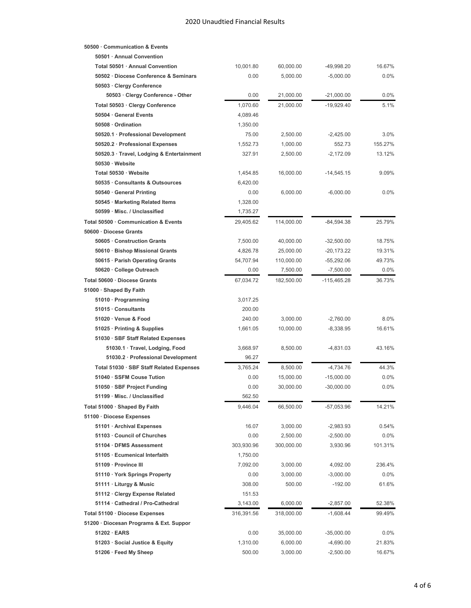**50500 · Communication & Events**

| 50501 Annual Convention                   |            |            |               |         |
|-------------------------------------------|------------|------------|---------------|---------|
| Total 50501 · Annual Convention           | 10,001.80  | 60,000.00  | -49,998.20    | 16.67%  |
| 50502 Diocese Conference & Seminars       | 0.00       | 5,000.00   | $-5,000.00$   | 0.0%    |
| 50503 · Clergy Conference                 |            |            |               |         |
| 50503 · Clergy Conference - Other         | 0.00       | 21,000.00  | $-21,000.00$  | 0.0%    |
| Total 50503 · Clergy Conference           | 1,070.60   | 21,000.00  | $-19,929.40$  | 5.1%    |
| 50504 · General Events                    | 4,089.46   |            |               |         |
| 50508 · Ordination                        | 1,350.00   |            |               |         |
| 50520.1 · Professional Development        | 75.00      | 2,500.00   | $-2,425.00$   | 3.0%    |
| 50520.2 · Professional Expenses           | 1,552.73   | 1,000.00   | 552.73        | 155.27% |
| 50520.3 · Travel, Lodging & Entertainment | 327.91     | 2,500.00   | $-2,172.09$   | 13.12%  |
| 50530 · Website                           |            |            |               |         |
| Total 50530 · Website                     | 1,454.85   | 16,000.00  | $-14,545.15$  | 9.09%   |
| 50535 Consultants & Outsources            | 6,420.00   |            |               |         |
| 50540 General Printing                    | 0.00       | 6,000.00   | $-6,000.00$   | 0.0%    |
| 50545 · Marketing Related Items           | 1,328.00   |            |               |         |
| 50599 · Misc. / Unclassified              | 1,735.27   |            |               |         |
| Total 50500 · Communication & Events      | 29,405.62  | 114,000.00 | $-84,594.38$  | 25.79%  |
| 50600 · Diocese Grants                    |            |            |               |         |
| 50605 · Construction Grants               | 7,500.00   | 40,000.00  | $-32,500.00$  | 18.75%  |
| 50610 · Bishop Missional Grants           | 4,826.78   | 25,000.00  | $-20,173.22$  | 19.31%  |
| 50615 · Parish Operating Grants           | 54,707.94  | 110,000.00 | -55,292.06    | 49.73%  |
| 50620 · College Outreach                  | 0.00       | 7,500.00   | $-7,500.00$   | $0.0\%$ |
| Total 50600 · Diocese Grants              | 67,034.72  | 182,500.00 | $-115,465.28$ | 36.73%  |
| 51000 · Shaped By Faith                   |            |            |               |         |
| 51010 · Programming                       | 3,017.25   |            |               |         |
| 51015 · Consultants                       | 200.00     |            |               |         |
| 51020 · Venue & Food                      | 240.00     | 3,000.00   | $-2,760.00$   | 8.0%    |
| 51025 · Printing & Supplies               | 1,661.05   | 10,000.00  | $-8,338.95$   | 16.61%  |
| 51030 · SBF Staff Related Expenses        |            |            |               |         |
| 51030.1 · Travel, Lodging, Food           | 3,668.97   | 8,500.00   | $-4,831.03$   | 43.16%  |
| 51030.2 · Professional Development        | 96.27      |            |               |         |
| Total 51030 · SBF Staff Related Expenses  | 3,765.24   | 8,500.00   | $-4,734.76$   | 44.3%   |
| 51040 · SSFM Couse Tution                 | 0.00       | 15,000.00  | $-15,000.00$  | 0.0%    |
| 51050 · SBF Project Funding               | 0.00       | 30,000.00  | $-30,000.00$  | 0.0%    |
| 51199 · Misc. / Unclassified              | 562.50     |            |               |         |
| Total 51000 · Shaped By Faith             | 9,446.04   | 66,500.00  | -57,053.96    | 14.21%  |
| 51100 · Diocese Expenses                  |            |            |               |         |
| 51101 · Archival Expenses                 | 16.07      | 3,000.00   | $-2,983.93$   | 0.54%   |
| 51103 Council of Churches                 | 0.00       | 2,500.00   | $-2,500.00$   | 0.0%    |
| 51104 · DFMS Assessment                   | 303,930.96 | 300,000.00 | 3,930.96      | 101.31% |
| 51105 · Ecumenical Interfaith             | 1,750.00   |            |               |         |
| 51109 · Province III                      | 7,092.00   | 3,000.00   | 4,092.00      | 236.4%  |
| 51110 · York Springs Property             | 0.00       | 3,000.00   | $-3,000.00$   | $0.0\%$ |
| 51111 · Liturgy & Music                   | 308.00     | 500.00     | $-192.00$     | 61.6%   |
| 51112 · Clergy Expense Related            | 151.53     |            |               |         |
| 51114 · Cathedral / Pro-Cathedral         | 3,143.00   | 6,000.00   | $-2,857.00$   | 52.38%  |
| Total 51100 · Diocese Expenses            | 316,391.56 | 318,000.00 | $-1,608.44$   | 99.49%  |
| 51200 · Diocesan Programs & Ext. Suppor   |            |            |               |         |
| 51202 · EARS                              | 0.00       | 35,000.00  | $-35,000.00$  | 0.0%    |
| 51203 · Social Justice & Equity           | 1,310.00   | 6,000.00   | $-4,690.00$   | 21.83%  |
| 51206 · Feed My Sheep                     | 500.00     | 3,000.00   | $-2,500.00$   | 16.67%  |
|                                           |            |            |               |         |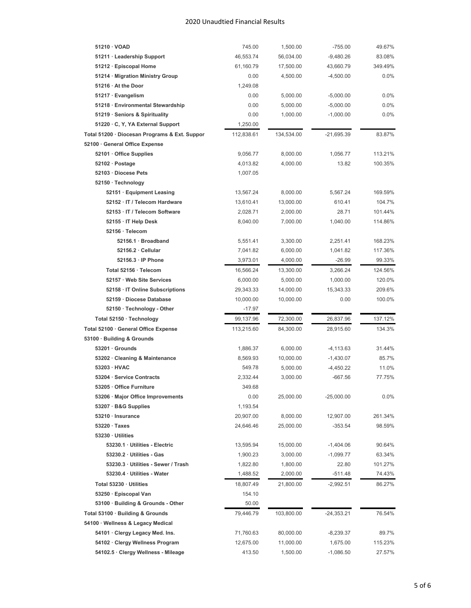| 51210 · VOAD                                  | 745.00     | 1,500.00   | $-755.00$    | 49.67%  |
|-----------------------------------------------|------------|------------|--------------|---------|
| 51211 · Leadership Support                    | 46,553.74  | 56,034.00  | $-9,480.26$  | 83.08%  |
| 51212 · Episcopal Home                        | 61,160.79  | 17,500.00  | 43,660.79    | 349.49% |
| 51214 · Migration Ministry Group              | 0.00       | 4,500.00   | $-4,500.00$  | 0.0%    |
| 51216 · At the Door                           | 1,249.08   |            |              |         |
| 51217 · Evangelism                            | 0.00       | 5,000.00   | $-5,000.00$  | 0.0%    |
| 51218 · Environmental Stewardship             | 0.00       | 5,000.00   | $-5,000.00$  | 0.0%    |
| 51219 · Seniors & Spirituality                | 0.00       | 1,000.00   | $-1,000.00$  | 0.0%    |
| 51220 · C, Y, YA External Support             | 1,250.00   |            |              |         |
| Total 51200 · Diocesan Programs & Ext. Suppor | 112,838.61 | 134,534.00 | $-21,695.39$ | 83.87%  |
| 52100 · General Office Expense                |            |            |              |         |
| 52101 · Office Supplies                       | 9,056.77   | 8,000.00   | 1,056.77     | 113.21% |
| 52102 · Postage                               | 4,013.82   | 4,000.00   | 13.82        | 100.35% |
| 52103 Diocese Pets                            | 1,007.05   |            |              |         |
| 52150 · Technology                            |            |            |              |         |
| 52151 · Equipment Leasing                     | 13,567.24  | 8,000.00   | 5,567.24     | 169.59% |
| 52152 · IT / Telecom Hardware                 | 13,610.41  | 13,000.00  | 610.41       | 104.7%  |
| 52153 · IT / Telecom Software                 | 2,028.71   | 2,000.00   | 28.71        | 101.44% |
| 52155 · IT Help Desk                          | 8,040.00   | 7,000.00   | 1,040.00     | 114.86% |
| 52156 · Telecom                               |            |            |              |         |
| 52156.1 · Broadband                           | 5,551.41   | 3,300.00   | 2,251.41     | 168.23% |
| $52156.2 \cdot$ Cellular                      | 7,041.82   | 6,000.00   | 1,041.82     | 117.36% |
| 52156.3 · IP Phone                            | 3,973.01   | 4,000.00   | $-26.99$     | 99.33%  |
| Total 52156 · Telecom                         | 16,566.24  | 13,300.00  | 3,266.24     | 124.56% |
| 52157 Web Site Services                       | 6,000.00   | 5,000.00   | 1,000.00     | 120.0%  |
| 52158 · IT Online Subscriptions               | 29,343.33  | 14,000.00  | 15,343.33    | 209.6%  |
| 52159 Diocese Database                        | 10,000.00  | 10,000.00  | 0.00         | 100.0%  |
| 52150 · Technology - Other                    | $-17.97$   |            |              |         |
| Total 52150 · Technology                      | 99,137.96  | 72,300.00  | 26,837.96    | 137.12% |
| Total 52100 · General Office Expense          | 113,215.60 | 84,300.00  | 28,915.60    | 134.3%  |
| 53100 · Building & Grounds                    |            |            |              |         |
| $53201 \cdot$ Grounds                         | 1,886.37   | 6,000.00   | $-4, 113.63$ | 31.44%  |
| 53202 · Cleaning & Maintenance                | 8,569.93   | 10,000.00  | $-1,430.07$  | 85.7%   |
| 53203 · HVAC                                  | 549.78     | 5,000.00   | $-4,450.22$  | 11.0%   |
| 53204 · Service Contracts                     | 2,332.44   | 3,000.00   | $-667.56$    | 77.75%  |
| 53205 · Office Furniture                      | 349.68     |            |              |         |
| 53206 · Major Office Improvements             | 0.00       | 25,000.00  | -25,000.00   | 0.0%    |
| 53207 · B&G Supplies                          | 1,193.54   |            |              |         |
| 53210 · Insurance                             | 20,907.00  | 8,000.00   | 12,907.00    | 261.34% |
| $53220 \cdot \text{Taxes}$                    | 24,646.46  | 25,000.00  | $-353.54$    | 98.59%  |
| 53230 · Utilities                             |            |            |              |         |
| 53230.1 · Utilities - Electric                | 13,595.94  | 15,000.00  | $-1,404.06$  | 90.64%  |
| 53230.2 · Utilities - Gas                     | 1,900.23   | 3,000.00   | $-1,099.77$  | 63.34%  |
| 53230.3 · Utilities - Sewer / Trash           | 1,822.80   | 1,800.00   | 22.80        | 101.27% |
| 53230.4 · Utilities - Water                   | 1,488.52   | 2,000.00   | $-511.48$    | 74.43%  |
| Total 53230 · Utilities                       | 18,807.49  | 21,800.00  | $-2,992.51$  | 86.27%  |
| 53250 · Episcopal Van                         | 154.10     |            |              |         |
| 53100 · Building & Grounds - Other            | 50.00      |            |              |         |
| Total 53100 · Building & Grounds              | 79,446.79  | 103,800.00 | -24,353.21   | 76.54%  |
| 54100 · Wellness & Legacy Medical             |            |            |              |         |
| 54101 · Clergy Legacy Med. Ins.               | 71,760.63  | 80,000.00  | -8,239.37    | 89.7%   |
|                                               |            |            |              |         |
| 54102 · Clergy Wellness Program               | 12,675.00  | 11,000.00  | 1,675.00     | 115.23% |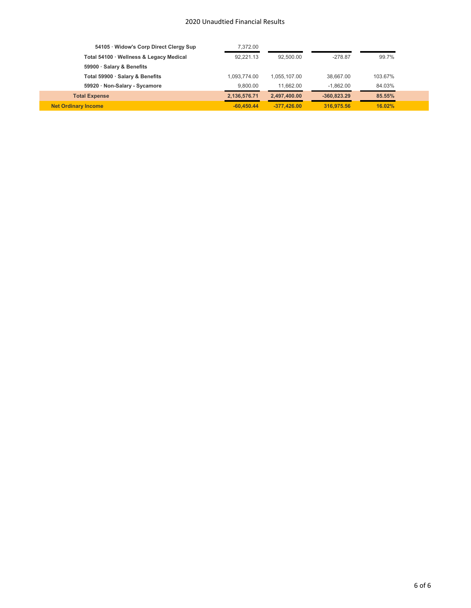| 54105 · Widow's Corp Direct Clergy Sup  | 7.372.00     |               |               |         |  |
|-----------------------------------------|--------------|---------------|---------------|---------|--|
| Total 54100 · Wellness & Legacy Medical | 92.221.13    | 92.500.00     | $-278.87$     | 99.7%   |  |
| 59900 · Salary & Benefits               |              |               |               |         |  |
| Total 59900 · Salary & Benefits         | 1.093.774.00 | 1.055.107.00  | 38.667.00     | 103.67% |  |
| 59920 · Non-Salary - Sycamore           | 9.800.00     | 11.662.00     | $-1.862.00$   | 84.03%  |  |
| <b>Total Expense</b>                    | 2,136,576.71 | 2,497,400.00  | $-360.823.29$ | 85.55%  |  |
| <b>Net Ordinary Income</b>              | $-60.450.44$ | $-377.426.00$ | 316,975.56    | 16.02%  |  |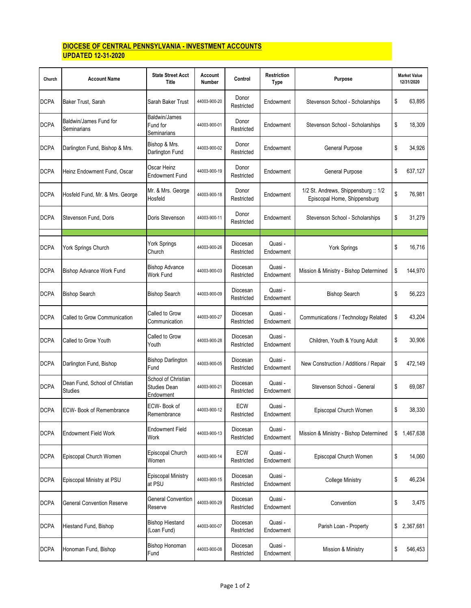### **DIOCESE OF CENTRAL PENNSYLVANIA - INVESTMENT ACCOUNTS UPDATED 12-31-2020**

| Church      | <b>Account Name</b>                       | <b>State Street Acct</b><br>Title                       | Account<br>Number | Control                | <b>Restriction</b><br>Type | Purpose                                                            | <b>Market Value</b><br>12/31/2020 |
|-------------|-------------------------------------------|---------------------------------------------------------|-------------------|------------------------|----------------------------|--------------------------------------------------------------------|-----------------------------------|
| <b>DCPA</b> | Baker Trust, Sarah                        | Sarah Baker Trust                                       | 44003-900-20      | Donor<br>Restricted    | Endowment                  | Stevenson School - Scholarships                                    | \$<br>63,895                      |
| <b>DCPA</b> | Baldwin/James Fund for<br>Seminarians     | Baldwin/James<br>Fund for<br>Seminarians                | 44003-900-01      | Donor<br>Restricted    | Endowment                  | Stevenson School - Scholarships                                    | \$<br>18,309                      |
| <b>DCPA</b> | Darlington Fund, Bishop & Mrs.            | Bishop & Mrs.<br>Darlington Fund                        | 44003-900-02      | Donor<br>Restricted    | Endowment                  | General Purpose                                                    | \$<br>34,926                      |
| <b>DCPA</b> | Heinz Endowment Fund, Oscar               | Oscar Heinz<br><b>Endowment Fund</b>                    | 44003-900-19      | Donor<br>Restricted    | Endowment                  | General Purpose                                                    | \$<br>637,127                     |
| <b>DCPA</b> | Hosfeld Fund, Mr. & Mrs. George           | Mr. & Mrs. George<br>Hosfeld                            | 44003-900-18      | Donor<br>Restricted    | Endowment                  | 1/2 St. Andrews, Shippensburg: 1/2<br>Episcopal Home, Shippensburg | \$<br>76,981                      |
| <b>DCPA</b> | Stevenson Fund, Doris                     | Doris Stevenson                                         | 44003-900-11      | Donor<br>Restricted    | Endowment                  | Stevenson School - Scholarships                                    | \$<br>31.279                      |
| <b>DCPA</b> | York Springs Church                       | York Springs<br>Church                                  | 44003-900-26      | Diocesan<br>Restricted | Quasi -<br>Endowment       | York Springs                                                       | \$<br>16.716                      |
| <b>DCPA</b> | Bishop Advance Work Fund                  | <b>Bishop Advance</b><br>Work Fund                      | 44003-900-03      | Diocesan<br>Restricted | Quasi -<br>Endowment       | Mission & Ministry - Bishop Determined                             | \$<br>144,970                     |
| <b>DCPA</b> | <b>Bishop Search</b>                      | <b>Bishop Search</b>                                    | 44003-900-09      | Diocesan<br>Restricted | Quasi -<br>Endowment       | <b>Bishop Search</b>                                               | \$<br>56,223                      |
| <b>DCPA</b> | Called to Grow Communication              | Called to Grow<br>Communication                         | 44003-900-27      | Diocesan<br>Restricted | Quasi -<br>Endowment       | Communications / Technology Related                                | \$<br>43,204                      |
| <b>DCPA</b> | Called to Grow Youth                      | Called to Grow<br>Youth                                 | 44003-900-28      | Diocesan<br>Restricted | Quasi -<br>Endowment       | Children, Youth & Young Adult                                      | \$<br>30,906                      |
| <b>DCPA</b> | Darlington Fund, Bishop                   | <b>Bishop Darlington</b><br>Fund                        | 44003-900-05      | Diocesan<br>Restricted | Quasi -<br>Endowment       | New Construction / Additions / Repair                              | \$<br>472,149                     |
| <b>DCPA</b> | Dean Fund, School of Christian<br>Studies | School of Christian<br><b>Studies Dean</b><br>Endowment | 44003-900-21      | Diocesan<br>Restricted | Quasi -<br>Endowment       | Stevenson School - General                                         | \$<br>69,087                      |
| <b>DCPA</b> | <b>ECW- Book of Remembrance</b>           | ECW-Book of<br>Remembrance                              | 44003-900-12      | ECW<br>Restricted      | Quasi -<br>Endowment       | Episcopal Church Women                                             | \$<br>38,330                      |
| <b>DCPA</b> | <b>Endowment Field Work</b>               | Endowment Field<br>Work                                 | 44003-900-13      | Diocesan<br>Restricted | Quasi -<br>Endowment       | Mission & Ministry - Bishop Determined                             | \$<br>1,467,638                   |
| <b>DCPA</b> | Episcopal Church Women                    | Episcopal Church<br>Women                               | 44003-900-14      | ECW<br>Restricted      | Quasi -<br>Endowment       | Episcopal Church Women                                             | \$<br>14,060                      |
| <b>DCPA</b> | Episcopal Ministry at PSU                 | <b>Episcopal Ministry</b><br>at PSU                     | 44003-900-15      | Diocesan<br>Restricted | Quasi -<br>Endowment       | <b>College Ministry</b>                                            | \$<br>46,234                      |
| <b>DCPA</b> | <b>General Convention Reserve</b>         | <b>General Convention</b><br>Reserve                    | 44003-900-29      | Diocesan<br>Restricted | Quasi -<br>Endowment       | Convention                                                         | \$<br>3,475                       |
| <b>DCPA</b> | Hiestand Fund, Bishop                     | <b>Bishop Hiestand</b><br>(Loan Fund)                   | 44003-900-07      | Diocesan<br>Restricted | Quasi -<br>Endowment       | Parish Loan - Property                                             | \$<br>2,367,681                   |
| <b>DCPA</b> | Honoman Fund, Bishop                      | Bishop Honoman<br>Fund                                  | 44003-900-08      | Diocesan<br>Restricted | Quasi -<br>Endowment       | Mission & Ministry                                                 | \$<br>546,453                     |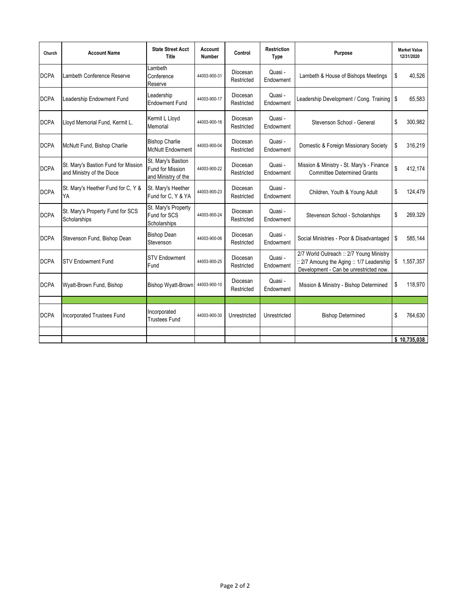| Church      | <b>Account Name</b>                                              | <b>State Street Acct</b><br><b>Title</b>                      | Account<br><b>Number</b> | Control                | <b>Restriction</b><br><b>Type</b> | Purpose                                                                                                                         | <b>Market Value</b><br>12/31/2020 |
|-------------|------------------------------------------------------------------|---------------------------------------------------------------|--------------------------|------------------------|-----------------------------------|---------------------------------------------------------------------------------------------------------------------------------|-----------------------------------|
| <b>DCPA</b> | Lambeth Conference Reserve                                       | Lambeth<br>Conference<br>Reserve                              | 44003-900-31             | Diocesan<br>Restricted | Quasi -<br>Endowment              | Lambeth & House of Bishops Meetings                                                                                             | \$<br>40,526                      |
| <b>DCPA</b> | Leadership Endowment Fund                                        | Leadership<br><b>Endowment Fund</b>                           | 44003-900-17             | Diocesan<br>Restricted | Quasi -<br>Endowment              | Leadership Development / Cong. Training   \$                                                                                    | 65,583                            |
| <b>DCPA</b> | Lloyd Memorial Fund, Kermit L.                                   | Kermit L Lloyd<br>Memorial                                    | 44003-900-16             | Diocesan<br>Restricted | Quasi -<br>Endowment              | Stevenson School - General                                                                                                      | \$<br>300,982                     |
| <b>DCPA</b> | McNutt Fund, Bishop Charlie                                      | <b>Bishop Charlie</b><br><b>McNutt Endowment</b>              | 44003-900-04             | Diocesan<br>Restricted | Quasi -<br>Endowment              | Domestic & Foreign Missionary Society                                                                                           | \$<br>316,219                     |
| <b>DCPA</b> | St. Mary's Bastion Fund for Mission<br>and Ministry of the Dioce | St. Mary's Bastion<br>Fund for Mission<br>and Ministry of the | 44003-900-22             | Diocesan<br>Restricted | Quasi -<br>Endowment              | Mission & Ministry - St. Mary's - Finance<br><b>Committee Determined Grants</b>                                                 | \$<br>412,174                     |
| <b>DCPA</b> | St. Mary's Heether Fund for C, Y &<br>YA                         | St. Mary's Heether<br>Fund for C, Y & YA                      | 44003-900-23             | Diocesan<br>Restricted | Quasi -<br>Endowment              | Children, Youth & Young Adult                                                                                                   | \$<br>124,479                     |
| <b>DCPA</b> | St. Mary's Property Fund for SCS<br>Scholarships                 | St. Mary's Property<br>Fund for SCS<br>Scholarships           | 44003-900-24             | Diocesan<br>Restricted | Quasi -<br>Endowment              | Stevenson School - Scholarships                                                                                                 | \$<br>269,329                     |
| <b>DCPA</b> | Stevenson Fund, Bishop Dean                                      | <b>Bishop Dean</b><br>Stevenson                               | 44003-900-06             | Diocesan<br>Restricted | Quasi -<br>Endowment              | Social Ministries - Poor & Disadvantaged                                                                                        | \$<br>585,144                     |
| <b>DCPA</b> | <b>STV Endowment Fund</b>                                        | <b>STV Endowment</b><br>Fund                                  | 44003-900-25             | Diocesan<br>Restricted | Quasi -<br>Endowment              | 2/7 World Outreach :: 2/7 Young Ministry<br>:: 2/7 Amoung the Aging :: 1/7 Leadership<br>Development - Can be unrestricted now. | \$<br>1,557,357                   |
| <b>DCPA</b> | Wyatt-Brown Fund, Bishop                                         | <b>Bishop Wyatt-Brown</b>                                     | 44003-900-10             | Diocesan<br>Restricted | Quasi -<br>Endowment              | Mission & Ministry - Bishop Determined                                                                                          | \$<br>118,970                     |
|             |                                                                  |                                                               |                          |                        |                                   |                                                                                                                                 |                                   |
| <b>DCPA</b> | <b>Incorporated Trustees Fund</b>                                | Incorporated<br><b>Trustees Fund</b>                          | 44003-900-30             | Unrestricted           | Unrestricted                      | <b>Bishop Determined</b>                                                                                                        | \$<br>764,630                     |
|             |                                                                  |                                                               |                          |                        |                                   |                                                                                                                                 |                                   |
|             |                                                                  |                                                               |                          |                        |                                   |                                                                                                                                 | \$10,735,038                      |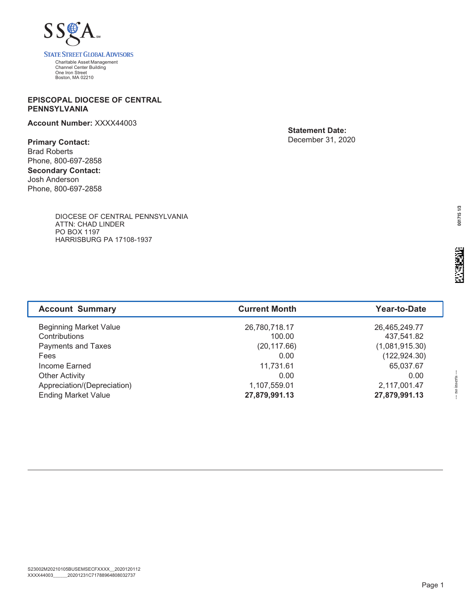

### **EPISCOPAL DIOCESE OF CENTRAL PENNSYLVANIA**

**Account Number:** XXXX44003

**Primary Contact:** Brad Roberts Phone, 800-697-2858 **Secondary Contact:** Josh Anderson Phone, 800-697-2858 **Statement Date:** December 31, 2020

DIOCESE OF CENTRAL PENNSYLVANIA ATTN: CHAD LINDER PO BOX 1197 HARRISBURG PA 17108-1937

| <b>Account Summary</b>        | <b>Current Month</b> | Year-to-Date   |
|-------------------------------|----------------------|----------------|
| <b>Beginning Market Value</b> | 26,780,718.17        | 26,465,249.77  |
| Contributions                 | 100.00               | 437,541.82     |
| Payments and Taxes            | (20, 117.66)         | (1,081,915.30) |
| Fees                          | 0.00                 | (122, 924.30)  |
| Income Earned                 | 11,731.61            | 65,037.67      |
| <b>Other Activity</b>         | 0.00                 | 0.00           |
| Appreciation/(Depreciation)   | 1,107,559.01         | 2,117,001.47   |
| <b>Ending Market Value</b>    | 27,879,991.13        | 27,879,991.13  |

--- no inserts ---

-- no inserts

ALGPBPHMHLGPFJBKAPFIEIDNGLEPAPGK AGGMOCOOIOOGGCOKACCMMOKCAMAMIAOK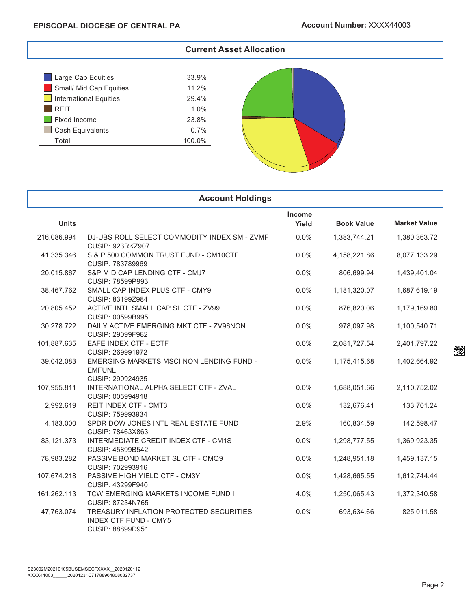### **Current Asset Allocation**

| Large Cap Equities            | 33.9%  |
|-------------------------------|--------|
| Small/ Mid Cap Equities       | 11.2%  |
| <b>International Equities</b> | 29.4%  |
| <b>REIT</b>                   | 1.0%   |
| Fixed Income                  | 23.8%  |
| <b>Cash Equivalents</b>       | 0.7%   |
| Total                         | 100.0% |
|                               |        |



| <b>Account Holdings</b> |                                                                                             |                 |                   |                     |  |  |  |  |  |
|-------------------------|---------------------------------------------------------------------------------------------|-----------------|-------------------|---------------------|--|--|--|--|--|
| <b>Units</b>            |                                                                                             | Income<br>Yield | <b>Book Value</b> | <b>Market Value</b> |  |  |  |  |  |
| 216,086.994             | DJ-UBS ROLL SELECT COMMODITY INDEX SM - ZVMF<br><b>CUSIP: 923RKZ907</b>                     | $0.0\%$         | 1,383,744.21      | 1,380,363.72        |  |  |  |  |  |
| 41,335.346              | S & P 500 COMMON TRUST FUND - CM10CTF<br>CUSIP: 783789969                                   | 0.0%            | 4,158,221.86      | 8,077,133.29        |  |  |  |  |  |
| 20,015.867              | S&P MID CAP LENDING CTF - CMJ7<br>CUSIP: 78599P993                                          | 0.0%            | 806,699.94        | 1,439,401.04        |  |  |  |  |  |
| 38,467.762              | SMALL CAP INDEX PLUS CTF - CMY9<br>CUSIP: 83199Z984                                         | 0.0%            | 1,181,320.07      | 1,687,619.19        |  |  |  |  |  |
| 20,805.452              | ACTIVE INTL SMALL CAP SL CTF - ZV99<br>CUSIP: 00599B995                                     | 0.0%            | 876,820.06        | 1,179,169.80        |  |  |  |  |  |
| 30,278.722              | DAILY ACTIVE EMERGING MKT CTF - ZV96NON<br>CUSIP: 29099F982                                 | 0.0%            | 978,097.98        | 1,100,540.71        |  |  |  |  |  |
| 101,887.635             | EAFE INDEX CTF - ECTF<br>CUSIP: 269991972                                                   | 0.0%            | 2,081,727.54      | 2,401,797.22        |  |  |  |  |  |
| 39,042.083              | EMERGING MARKETS MSCI NON LENDING FUND -<br><b>EMFUNL</b><br>CUSIP: 290924935               | 0.0%            | 1,175,415.68      | 1,402,664.92        |  |  |  |  |  |
| 107,955.811             | INTERNATIONAL ALPHA SELECT CTF - ZVAL<br>CUSIP: 005994918                                   | 0.0%            | 1,688,051.66      | 2,110,752.02        |  |  |  |  |  |
| 2,992.619               | <b>REIT INDEX CTF - CMT3</b><br>CUSIP: 759993934                                            | 0.0%            | 132,676.41        | 133,701.24          |  |  |  |  |  |
| 4,183.000               | SPDR DOW JONES INTL REAL ESTATE FUND<br>CUSIP: 78463X863                                    | 2.9%            | 160,834.59        | 142,598.47          |  |  |  |  |  |
| 83,121.373              | INTERMEDIATE CREDIT INDEX CTF - CM1S<br>CUSIP: 45899B542                                    | 0.0%            | 1,298,777.55      | 1,369,923.35        |  |  |  |  |  |
| 78,983.282              | PASSIVE BOND MARKET SL CTF - CMQ9<br>CUSIP: 702993916                                       | 0.0%            | 1,248,951.18      | 1,459,137.15        |  |  |  |  |  |
| 107,674.218             | PASSIVE HIGH YIELD CTF - CM3Y<br>CUSIP: 43299F940                                           | 0.0%            | 1,428,665.55      | 1,612,744.44        |  |  |  |  |  |
| 161,262.113             | TCW EMERGING MARKETS INCOME FUND I<br>CUSIP: 87234N765                                      | 4.0%            | 1,250,065.43      | 1,372,340.58        |  |  |  |  |  |
| 47,763.074              | TREASURY INFLATION PROTECTED SECURITIES<br><b>INDEX CTF FUND - CMY5</b><br>CUSIP: 88899D951 | 0.0%            | 693,634.66        | 825,011.58          |  |  |  |  |  |

algeb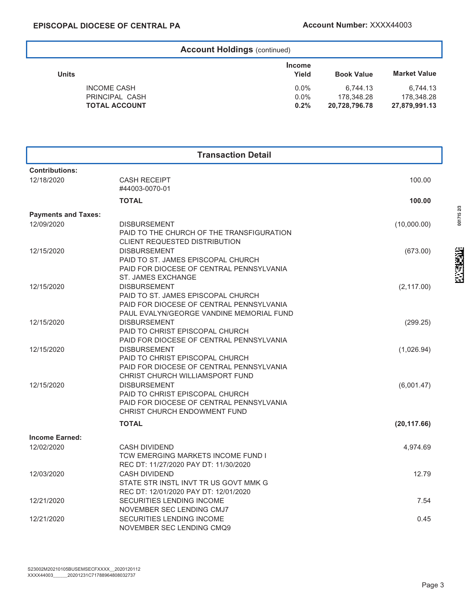| <b>Account Holdings (continued)</b> |                        |                   |                     |  |  |  |  |  |
|-------------------------------------|------------------------|-------------------|---------------------|--|--|--|--|--|
| Units                               | <b>Income</b><br>Yield | <b>Book Value</b> | <b>Market Value</b> |  |  |  |  |  |
| <b>INCOME CASH</b>                  | $0.0\%$                | 6.744.13          | 6.744.13            |  |  |  |  |  |
| PRINCIPAL CASH                      | $0.0\%$                | 178.348.28        | 178.348.28          |  |  |  |  |  |
| <b>TOTAL ACCOUNT</b>                | 0.2%                   | 20,728,796.78     | 27,879,991.13       |  |  |  |  |  |

| <b>Transaction Detail</b>  |                                                                                      |              |  |  |  |  |
|----------------------------|--------------------------------------------------------------------------------------|--------------|--|--|--|--|
| <b>Contributions:</b>      |                                                                                      |              |  |  |  |  |
| 12/18/2020                 | <b>CASH RECEIPT</b><br>#44003-0070-01                                                | 100.00       |  |  |  |  |
|                            | <b>TOTAL</b>                                                                         | 100.00       |  |  |  |  |
| <b>Payments and Taxes:</b> |                                                                                      |              |  |  |  |  |
| 12/09/2020                 | <b>DISBURSEMENT</b>                                                                  | (10,000.00)  |  |  |  |  |
|                            | PAID TO THE CHURCH OF THE TRANSFIGURATION                                            |              |  |  |  |  |
|                            | CLIENT REQUESTED DISTRIBUTION                                                        |              |  |  |  |  |
| 12/15/2020                 | <b>DISBURSEMENT</b>                                                                  | (673.00)     |  |  |  |  |
|                            | PAID TO ST. JAMES EPISCOPAL CHURCH                                                   |              |  |  |  |  |
|                            | PAID FOR DIOCESE OF CENTRAL PENNSYLVANIA                                             |              |  |  |  |  |
|                            | ST. JAMES EXCHANGE                                                                   |              |  |  |  |  |
| 12/15/2020                 | <b>DISBURSEMENT</b>                                                                  | (2, 117.00)  |  |  |  |  |
|                            | PAID TO ST. JAMES EPISCOPAL CHURCH                                                   |              |  |  |  |  |
|                            | PAID FOR DIOCESE OF CENTRAL PENNSYLVANIA<br>PAUL EVALYN/GEORGE VANDINE MEMORIAL FUND |              |  |  |  |  |
| 12/15/2020                 | <b>DISBURSEMENT</b>                                                                  |              |  |  |  |  |
|                            | PAID TO CHRIST EPISCOPAL CHURCH                                                      | (299.25)     |  |  |  |  |
|                            | PAID FOR DIOCESE OF CENTRAL PENNSYLVANIA                                             |              |  |  |  |  |
| 12/15/2020                 | <b>DISBURSEMENT</b>                                                                  | (1,026.94)   |  |  |  |  |
|                            | PAID TO CHRIST EPISCOPAL CHURCH                                                      |              |  |  |  |  |
|                            | PAID FOR DIOCESE OF CENTRAL PENNSYLVANIA                                             |              |  |  |  |  |
|                            | CHRIST CHURCH WILLIAMSPORT FUND                                                      |              |  |  |  |  |
| 12/15/2020                 | <b>DISBURSEMENT</b>                                                                  | (6,001.47)   |  |  |  |  |
|                            | PAID TO CHRIST EPISCOPAL CHURCH                                                      |              |  |  |  |  |
|                            | PAID FOR DIOCESE OF CENTRAL PENNSYLVANIA                                             |              |  |  |  |  |
|                            | CHRIST CHURCH ENDOWMENT FUND                                                         |              |  |  |  |  |
|                            | <b>TOTAL</b>                                                                         | (20, 117.66) |  |  |  |  |
| <b>Income Earned:</b>      |                                                                                      |              |  |  |  |  |
| 12/02/2020                 | <b>CASH DIVIDEND</b>                                                                 | 4,974.69     |  |  |  |  |
|                            | TCW EMERGING MARKETS INCOME FUND I                                                   |              |  |  |  |  |
|                            | REC DT: 11/27/2020 PAY DT: 11/30/2020                                                |              |  |  |  |  |
| 12/03/2020                 | <b>CASH DIVIDEND</b>                                                                 | 12.79        |  |  |  |  |
|                            | STATE STR INSTL INVT TR US GOVT MMK G                                                |              |  |  |  |  |
|                            | REC DT: 12/01/2020 PAY DT: 12/01/2020                                                |              |  |  |  |  |
| 12/21/2020                 | <b>SECURITIES LENDING INCOME</b>                                                     | 7.54         |  |  |  |  |
|                            | NOVEMBER SEC LENDING CMJ7                                                            |              |  |  |  |  |
| 12/21/2020                 | <b>SECURITIES LENDING INCOME</b>                                                     | 0.45         |  |  |  |  |
|                            | <b>NOVEMBER SEC LENDING CMQ9</b>                                                     |              |  |  |  |  |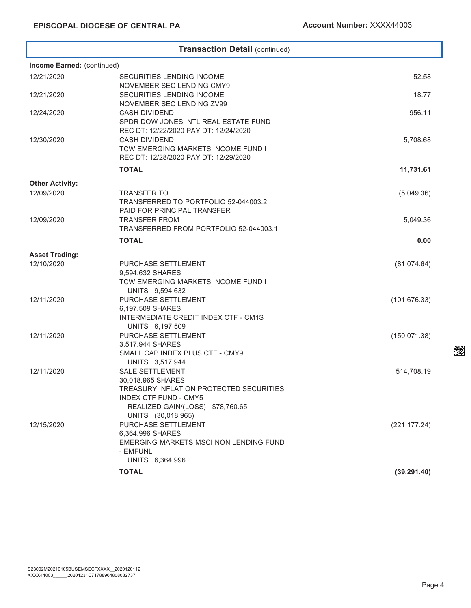### **Transaction Detail** (continued) **Income Earned:** (continued) 12/21/2020 SECURITIES LENDING INCOME NOVEMBER SEC LENDING CMY9 52.58 12/21/2020 SECURITIES LENDING INCOME NOVEMBER SEC LENDING ZV99 18.77 12/24/2020 CASH DIVIDEND SPDR DOW JONES INTL REAL ESTATE FUND REC DT: 12/22/2020 PAY DT: 12/24/2020 956.11 12/30/2020 CASH DIVIDEND TCW EMERGING MARKETS INCOME FUND I REC DT: 12/28/2020 PAY DT: 12/29/2020 5,708.68 **TOTAL 11,731.61 Other Activity:** 12/09/2020 TRANSFER TO TRANSFERRED TO PORTFOLIO 52-044003.2 PAID FOR PRINCIPAL TRANSFER (5,049.36) 12/09/2020 TRANSFER FROM TRANSFERRED FROM PORTFOLIO 52-044003.1 5,049.36 **TOTAL 0.00 Asset Trading:** 12/10/2020 PURCHASE SETTLEMENT 9,594.632 SHARES TCW EMERGING MARKETS INCOME FUND I UNITS 9,594.632 (81,074.64) 12/11/2020 PURCHASE SETTLEMENT 6,197.509 SHARES INTERMEDIATE CREDIT INDEX CTF - CM1S UNITS 6,197.509 (101,676.33) 12/11/2020 PURCHASE SETTLEMENT 3,517.944 SHARES SMALL CAP INDEX PLUS CTF - CMY9 UNITS 3,517.944 (150,071.38) 12/11/2020 SALE SETTLEMENT 30,018.965 SHARES TREASURY INFLATION PROTECTED SECURITIES INDEX CTF FUND - CMY5 REALIZED GAIN/(LOSS) \$78,760.65 UNITS (30,018.965) 514,708.19 12/15/2020 PURCHASE SETTLEMENT 6,364.996 SHARES EMERGING MARKETS MSCI NON LENDING FUND - EMFUNL UNITS 6,364.996 (221,177.24) **TOTAL (39,291.40)**

er<br>De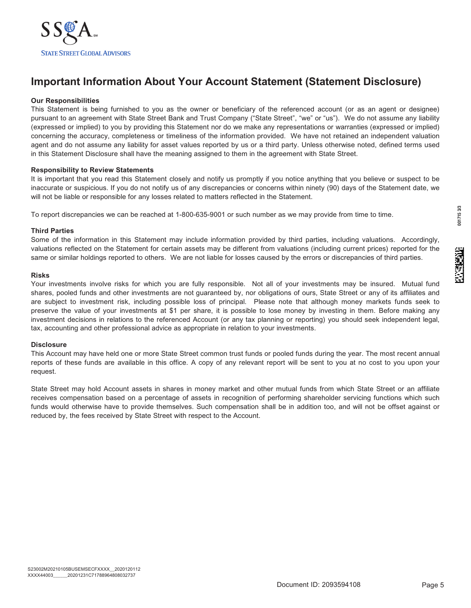

### **Important Information About Your Account Statement (Statement Disclosure)**

### **Our Responsibilities**

This Statement is being furnished to you as the owner or beneficiary of the referenced account (or as an agent or designee) pursuant to an agreement with State Street Bank and Trust Company ("State Street", "we" or "us"). We do not assume any liability (expressed or implied) to you by providing this Statement nor do we make any representations or warranties (expressed or implied) concerning the accuracy, completeness or timeliness of the information provided. We have not retained an independent valuation agent and do not assume any liability for asset values reported by us or a third party. Unless otherwise noted, defined terms used in this Statement Disclosure shall have the meaning assigned to them in the agreement with State Street.

### **Responsibility to Review Statements**

It is important that you read this Statement closely and notify us promptly if you notice anything that you believe or suspect to be inaccurate or suspicious. If you do not notify us of any discrepancies or concerns within ninety (90) days of the Statement date, we will not be liable or responsible for any losses related to matters reflected in the Statement.

To report discrepancies we can be reached at 1-800-635-9001 or such number as we may provide from time to time.

### **Third Parties**

Some of the information in this Statement may include information provided by third parties, including valuations. Accordingly, valuations reflected on the Statement for certain assets may be different from valuations (including current prices) reported for the same or similar holdings reported to others. We are not liable for losses caused by the errors or discrepancies of third parties.

### **Risks**

Your investments involve risks for which you are fully responsible. Not all of your investments may be insured. Mutual fund shares, pooled funds and other investments are not guaranteed by, nor obligations of ours, State Street or any of its affiliates and are subject to investment risk, including possible loss of principal. Please note that although money markets funds seek to preserve the value of your investments at \$1 per share, it is possible to lose money by investing in them. Before making any investment decisions in relations to the referenced Account (or any tax planning or reporting) you should seek independent legal, tax, accounting and other professional advice as appropriate in relation to your investments.

### **Disclosure**

This Account may have held one or more State Street common trust funds or pooled funds during the year. The most recent annual reports of these funds are available in this office. A copy of any relevant report will be sent to you at no cost to you upon your request.

State Street may hold Account assets in shares in money market and other mutual funds from which State Street or an affiliate receives compensation based on a percentage of assets in recognition of performing shareholder servicing functions which such funds would otherwise have to provide themselves. Such compensation shall be in addition too, and will not be offset against or reduced by, the fees received by State Street with respect to the Account.

ALGPROSTIC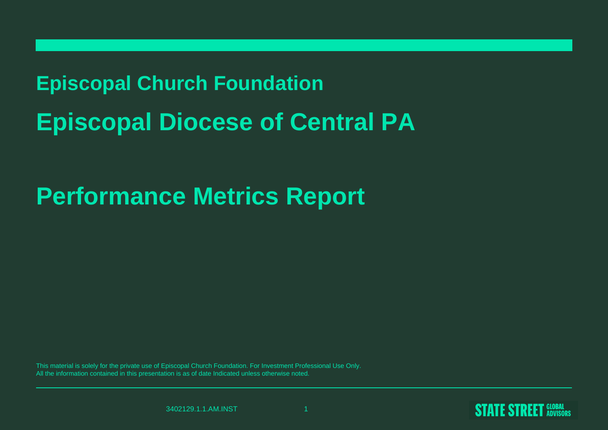# **Episcopal Church FoundationEpiscopal Diocese of Central PA**

# **Performance Metrics Report**

This material is solely for the private use of Episcopal Church Foundation. For Investment Professional Use Only.All the information contained in this presentation is as of date Indicated unless otherwise noted.

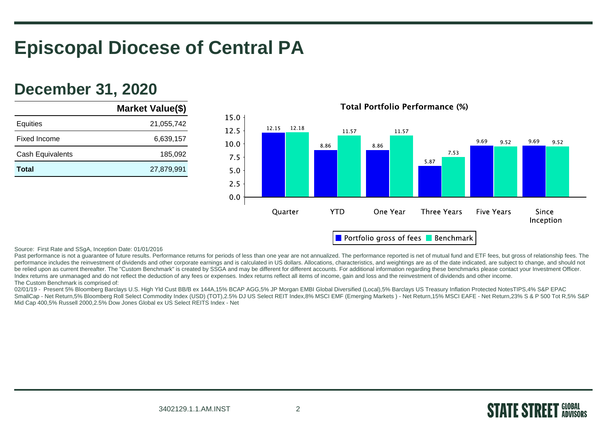# **Episcopal Diocese of Central PA**

## **December 31, 2020**

|                         | Market Value(\$) |
|-------------------------|------------------|
| Equities                | 21,055,742       |
| Fixed Income            | 6,639,157        |
| <b>Cash Equivalents</b> | 185,092          |
| Total                   | 27,879,991       |
|                         |                  |



**Total Portfolio Performance (%)** 

Source: First Rate and SSgA, Inception Date: 01/01/2016

Past performance is not a guarantee of future results. Performance returns for periods of less than one year are not annualized. The performance reported is net of mutual fund and ETF fees, but gross of relationship fees. performance includes the reinvestment of dividends and other corporate earnings and is calculated in US dollars. Allocations, characteristics, and weightings are as of the date indicated, are subject to change, and should be relied upon as current thereafter. The "Custom Benchmark" is created by SSGA and may be different for different accounts. For additional information regarding these benchmarks please contact your Investment Officer. Index returns are unmanaged and do not reflect the deduction of any fees or expenses. Index returns reflect all items of income, gain and loss and the reinvestment of dividends and other income. The Custom Benchmark is comprised of:

02/01/19 - Present 5% Bloomberg Barclays U.S. High Yld Cust BB/B ex 144A,15% BCAP AGG,5% JP Morgan EMBI Global Diversified (Local),5% Barclays US Treasury Inflation Protected NotesTIPS,4% S&P EPAC SmallCap - Net Return,5% Bloomberg Roll Select Commodity Index (USD) (TOT),2.5% DJ US Select REIT Index,8% MSCI EMF (Emerging Markets ) - Net Return,15% MSCI EAFE - Net Return,23% S & P 500 Tot R,5% S&PMid Cap 400,5% Russell 2000,2.5% Dow Jones Global ex US Select REITS Index - Net

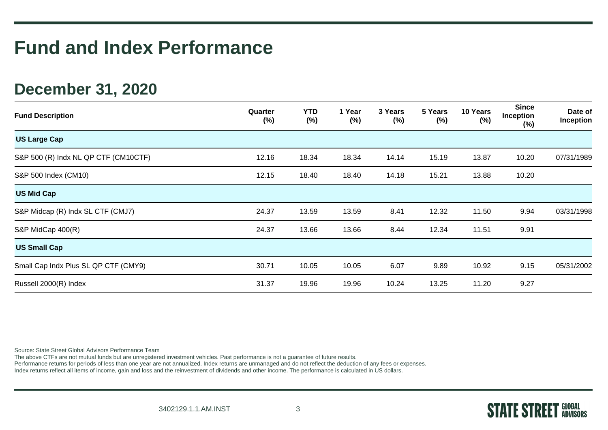## **December 31, 2020**

| <b>Fund Description</b>              | Quarter<br>$(\%)$ | <b>YTD</b><br>$(\%)$ | 1 Year<br>$(\%)$ | 3 Years<br>$(\%)$ | 5 Years<br>$(\%)$ | 10 Years<br>(%) | <b>Since</b><br>Inception<br>(%) | Date of<br>Inception |
|--------------------------------------|-------------------|----------------------|------------------|-------------------|-------------------|-----------------|----------------------------------|----------------------|
| <b>US Large Cap</b>                  |                   |                      |                  |                   |                   |                 |                                  |                      |
| S&P 500 (R) Indx NL QP CTF (CM10CTF) | 12.16             | 18.34                | 18.34            | 14.14             | 15.19             | 13.87           | 10.20                            | 07/31/1989           |
| S&P 500 Index (CM10)                 | 12.15             | 18.40                | 18.40            | 14.18             | 15.21             | 13.88           | 10.20                            |                      |
| <b>US Mid Cap</b>                    |                   |                      |                  |                   |                   |                 |                                  |                      |
| S&P Midcap (R) Indx SL CTF (CMJ7)    | 24.37             | 13.59                | 13.59            | 8.41              | 12.32             | 11.50           | 9.94                             | 03/31/1998           |
| S&P MidCap 400(R)                    | 24.37             | 13.66                | 13.66            | 8.44              | 12.34             | 11.51           | 9.91                             |                      |
| <b>US Small Cap</b>                  |                   |                      |                  |                   |                   |                 |                                  |                      |
| Small Cap Indx Plus SL QP CTF (CMY9) | 30.71             | 10.05                | 10.05            | 6.07              | 9.89              | 10.92           | 9.15                             | 05/31/2002           |
| Russell 2000(R) Index                | 31.37             | 19.96                | 19.96            | 10.24             | 13.25             | 11.20           | 9.27                             |                      |

Source: State Street Global Advisors Performance Team

The above CTFs are not mutual funds but are unregistered investment vehicles. Past performance is not a guarantee of future results.

Performance returns for periods of less than one year are not annualized. Index returns are unmanaged and do not reflect the deduction of any fees or expenses.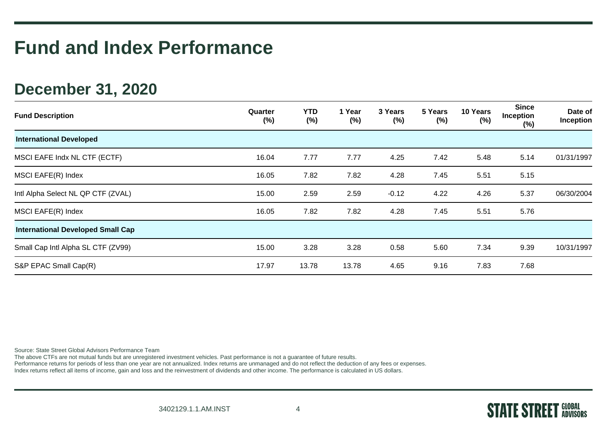## **December 31, 2020**

| <b>Fund Description</b>                  | Quarter<br>$(\%)$ | YTD<br>$(\%)$ | 1 Year<br>$(\%)$ | 3 Years<br>$(\%)$ | 5 Years<br>$(\%)$ | 10 Years<br>$(\%)$ | <b>Since</b><br><b>Inception</b><br>(%) | Date of<br>Inception |
|------------------------------------------|-------------------|---------------|------------------|-------------------|-------------------|--------------------|-----------------------------------------|----------------------|
| <b>International Developed</b>           |                   |               |                  |                   |                   |                    |                                         |                      |
| MSCI EAFE Indx NL CTF (ECTF)             | 16.04             | 7.77          | 7.77             | 4.25              | 7.42              | 5.48               | 5.14                                    | 01/31/1997           |
| MSCI EAFE(R) Index                       | 16.05             | 7.82          | 7.82             | 4.28              | 7.45              | 5.51               | 5.15                                    |                      |
| Intl Alpha Select NL QP CTF (ZVAL)       | 15.00             | 2.59          | 2.59             | $-0.12$           | 4.22              | 4.26               | 5.37                                    | 06/30/2004           |
| MSCI EAFE(R) Index                       | 16.05             | 7.82          | 7.82             | 4.28              | 7.45              | 5.51               | 5.76                                    |                      |
| <b>International Developed Small Cap</b> |                   |               |                  |                   |                   |                    |                                         |                      |
| Small Cap Intl Alpha SL CTF (ZV99)       | 15.00             | 3.28          | 3.28             | 0.58              | 5.60              | 7.34               | 9.39                                    | 10/31/1997           |
| S&P EPAC Small Cap(R)                    | 17.97             | 13.78         | 13.78            | 4.65              | 9.16              | 7.83               | 7.68                                    |                      |

Source: State Street Global Advisors Performance Team

The above CTFs are not mutual funds but are unregistered investment vehicles. Past performance is not a guarantee of future results.

Performance returns for periods of less than one year are not annualized. Index returns are unmanaged and do not reflect the deduction of any fees or expenses.

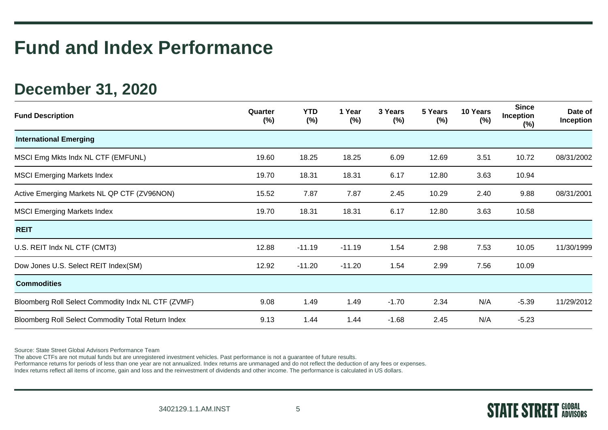## **December 31, 2020**

| <b>Fund Description</b>                            | Quarter<br>(%) | <b>YTD</b><br>$(\%)$ | 1 Year<br>$(\%)$ | 3 Years<br>$(\%)$ | 5 Years<br>$(\%)$ | 10 Years<br>$(\%)$ | <b>Since</b><br>Inception<br>$(\%)$ | Date of<br>Inception |
|----------------------------------------------------|----------------|----------------------|------------------|-------------------|-------------------|--------------------|-------------------------------------|----------------------|
| <b>International Emerging</b>                      |                |                      |                  |                   |                   |                    |                                     |                      |
| MSCI Emg Mkts Indx NL CTF (EMFUNL)                 | 19.60          | 18.25                | 18.25            | 6.09              | 12.69             | 3.51               | 10.72                               | 08/31/2002           |
| <b>MSCI Emerging Markets Index</b>                 | 19.70          | 18.31                | 18.31            | 6.17              | 12.80             | 3.63               | 10.94                               |                      |
| Active Emerging Markets NL QP CTF (ZV96NON)        | 15.52          | 7.87                 | 7.87             | 2.45              | 10.29             | 2.40               | 9.88                                | 08/31/2001           |
| <b>MSCI Emerging Markets Index</b>                 | 19.70          | 18.31                | 18.31            | 6.17              | 12.80             | 3.63               | 10.58                               |                      |
| <b>REIT</b>                                        |                |                      |                  |                   |                   |                    |                                     |                      |
| U.S. REIT Indx NL CTF (CMT3)                       | 12.88          | $-11.19$             | $-11.19$         | 1.54              | 2.98              | 7.53               | 10.05                               | 11/30/1999           |
| Dow Jones U.S. Select REIT Index(SM)               | 12.92          | $-11.20$             | $-11.20$         | 1.54              | 2.99              | 7.56               | 10.09                               |                      |
| <b>Commodities</b>                                 |                |                      |                  |                   |                   |                    |                                     |                      |
| Bloomberg Roll Select Commodity Indx NL CTF (ZVMF) | 9.08           | 1.49                 | 1.49             | $-1.70$           | 2.34              | N/A                | $-5.39$                             | 11/29/2012           |
| Bloomberg Roll Select Commodity Total Return Index | 9.13           | 1.44                 | 1.44             | $-1.68$           | 2.45              | N/A                | $-5.23$                             |                      |

Source: State Street Global Advisors Performance Team

The above CTFs are not mutual funds but are unregistered investment vehicles. Past performance is not a guarantee of future results.

Performance returns for periods of less than one year are not annualized. Index returns are unmanaged and do not reflect the deduction of any fees or expenses.

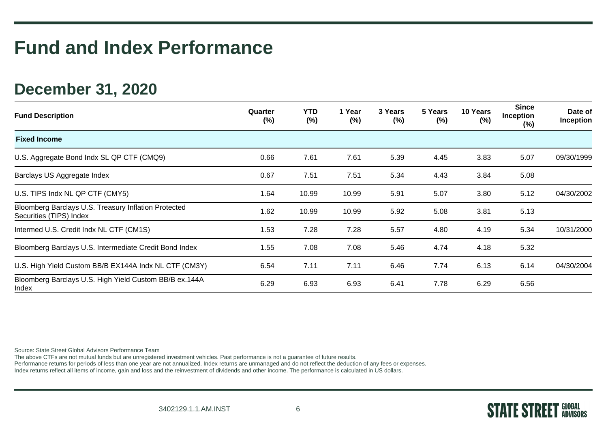## **December 31, 2020**

| <b>Fund Description</b>                                                         | Quarter<br>$(\%)$ | YTD<br>$(\%)$ | 1 Year<br>$(\%)$ | 3 Years<br>$(\% )$ | 5 Years<br>(%) | 10 Years<br>(%) | <b>Since</b><br><b>Inception</b><br>(%) | Date of<br>Inception |
|---------------------------------------------------------------------------------|-------------------|---------------|------------------|--------------------|----------------|-----------------|-----------------------------------------|----------------------|
| <b>Fixed Income</b>                                                             |                   |               |                  |                    |                |                 |                                         |                      |
| U.S. Aggregate Bond Indx SL QP CTF (CMQ9)                                       | 0.66              | 7.61          | 7.61             | 5.39               | 4.45           | 3.83            | 5.07                                    | 09/30/1999           |
| Barclays US Aggregate Index                                                     | 0.67              | 7.51          | 7.51             | 5.34               | 4.43           | 3.84            | 5.08                                    |                      |
| U.S. TIPS Indx NL QP CTF (CMY5)                                                 | 1.64              | 10.99         | 10.99            | 5.91               | 5.07           | 3.80            | 5.12                                    | 04/30/2002           |
| Bloomberg Barclays U.S. Treasury Inflation Protected<br>Securities (TIPS) Index | 1.62              | 10.99         | 10.99            | 5.92               | 5.08           | 3.81            | 5.13                                    |                      |
| Intermed U.S. Credit Indx NL CTF (CM1S)                                         | 1.53              | 7.28          | 7.28             | 5.57               | 4.80           | 4.19            | 5.34                                    | 10/31/2000           |
| Bloomberg Barclays U.S. Intermediate Credit Bond Index                          | 1.55              | 7.08          | 7.08             | 5.46               | 4.74           | 4.18            | 5.32                                    |                      |
| U.S. High Yield Custom BB/B EX144A Indx NL CTF (CM3Y)                           | 6.54              | 7.11          | 7.11             | 6.46               | 7.74           | 6.13            | 6.14                                    | 04/30/2004           |
| Bloomberg Barclays U.S. High Yield Custom BB/B ex.144A<br>Index                 | 6.29              | 6.93          | 6.93             | 6.41               | 7.78           | 6.29            | 6.56                                    |                      |

Source: State Street Global Advisors Performance Team

The above CTFs are not mutual funds but are unregistered investment vehicles. Past performance is not a guarantee of future results.

Performance returns for periods of less than one year are not annualized. Index returns are unmanaged and do not reflect the deduction of any fees or expenses.

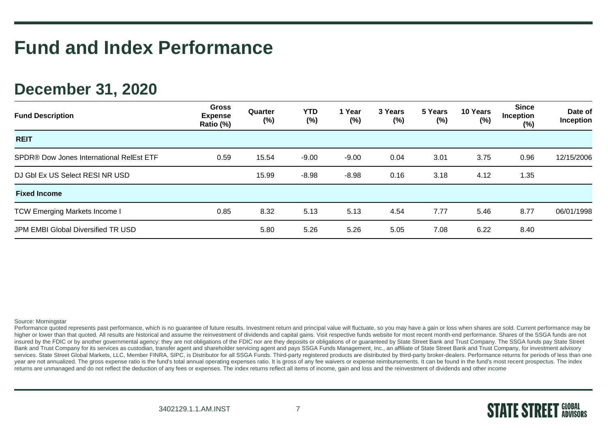## **December 31, 2020**

| <b>Fund Description</b>                  | <b>Gross</b><br><b>Expense</b><br>Ratio (%) | Quarter<br>$(\%)$ | YTD<br>$(\%)$ | 1 Year<br>$(\%)$ | 3 Years<br>$(\%)$ | 5 Years<br>$(\%)$ | 10 Years<br>(%) | <b>Since</b><br><b>Inception</b><br>(%) | Date of<br>Inception |
|------------------------------------------|---------------------------------------------|-------------------|---------------|------------------|-------------------|-------------------|-----------------|-----------------------------------------|----------------------|
| <b>REIT</b>                              |                                             |                   |               |                  |                   |                   |                 |                                         |                      |
| SPDR® Dow Jones International RelEst ETF | 0.59                                        | 15.54             | $-9.00$       | $-9.00$          | 0.04              | 3.01              | 3.75            | 0.96                                    | 12/15/2006           |
| DJ GbI Ex US Select RESI NR USD          |                                             | 15.99             | $-8.98$       | $-8.98$          | 0.16              | 3.18              | 4.12            | 1.35                                    |                      |
| <b>Fixed Income</b>                      |                                             |                   |               |                  |                   |                   |                 |                                         |                      |
| <b>TCW Emerging Markets Income I</b>     | 0.85                                        | 8.32              | 5.13          | 5.13             | 4.54              | 7.77              | 5.46            | 8.77                                    | 06/01/1998           |
| JPM EMBI Global Diversified TR USD       |                                             | 5.80              | 5.26          | 5.26             | 5.05              | 7.08              | 6.22            | 8.40                                    |                      |

### Source: Morningstar

Performance quoted represents past performance, which is no guarantee of future results. Investment return and principal value will fluctuate, so you may have a gain or loss when shares are sold. Current performance may be higher or lower than that quoted. All results are historical and assume the reinvestment of dividends and capital gains. Visit respective funds website for most recent month-end performance. Shares of the SSGA funds are no insured by the FDIC or by another governmental agency: they are not obligations of the FDIC nor are they deposits or obligations of or guaranteed by State Street Bank and Trust Company. The SSGA funds pay State Street Bank and Trust Company for its services as custodian, transfer agent and shareholder servicing agent and pays SSGA Funds Management, Inc., an affiliate of State Street Bank and Trust Company, for investment advisory services. State Street Global Markets, LLC, Member FINRA, SIPC, is Distributor for all SSGA Funds. Third-party registered products are distributed by third-party broker-dealers. Performance returns for periods of less than year are not annualized. The gross expense ratio is the fund's total annual operating expenses ratio. It is gross of any fee waivers or expense reimbursements. It can be found in the fund's most recent prospectus. The inde returns are unmanaged and do not reflect the deduction of any fees or expenses. The index returns reflect all items of income, gain and loss and the reinvestment of dividends and other income